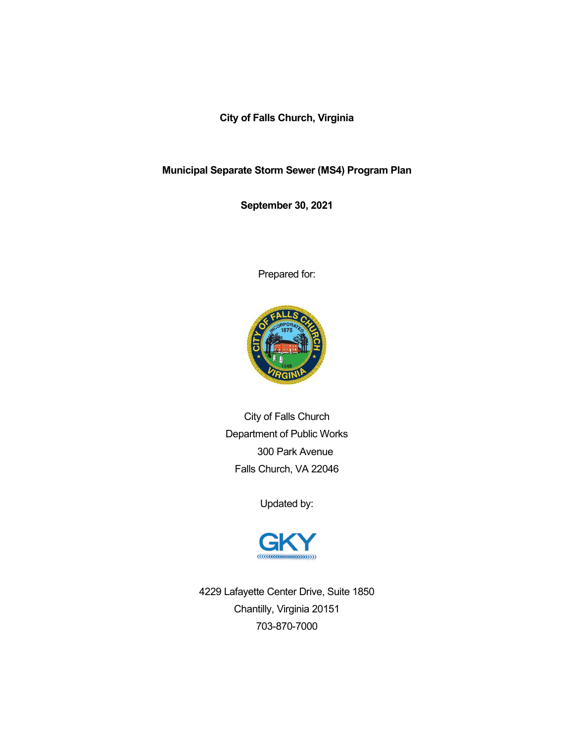**City of Falls Church, Virginia**

**Municipal Separate Storm Sewer (MS4) Program Plan**

**September 30, 2021**

Prepared for:



City of Falls Church Department of Public Works 300 Park Avenue Falls Church, VA 22046

Updated by:



4229 Lafayette Center Drive, Suite 1850 Chantilly, Virginia 20151 703-870-7000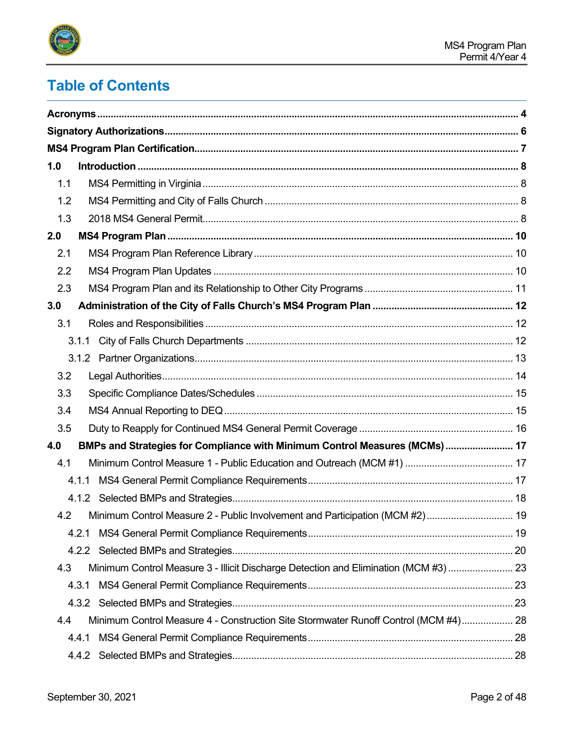

# **Table of Contents**

| 1.0 |                                                                                      |  |
|-----|--------------------------------------------------------------------------------------|--|
| 1.1 |                                                                                      |  |
| 1.2 |                                                                                      |  |
| 1.3 |                                                                                      |  |
| 2.0 |                                                                                      |  |
| 2.1 |                                                                                      |  |
| 2.2 |                                                                                      |  |
| 2.3 |                                                                                      |  |
| 3.0 |                                                                                      |  |
| 3.1 |                                                                                      |  |
|     |                                                                                      |  |
|     |                                                                                      |  |
| 3.2 |                                                                                      |  |
| 3.3 |                                                                                      |  |
| 3.4 |                                                                                      |  |
| 3.5 |                                                                                      |  |
| 4.0 | BMPs and Strategies for Compliance with Minimum Control Measures (MCMs)  17          |  |
| 4.1 |                                                                                      |  |
|     | 4.1.1                                                                                |  |
|     |                                                                                      |  |
| 4.2 | Minimum Control Measure 2 - Public Involvement and Participation (MCM #2) 19         |  |
|     | 4.2.1                                                                                |  |
|     |                                                                                      |  |
| 4.3 | Minimum Control Measure 3 - Illicit Discharge Detection and Elimination (MCM #3)  23 |  |
|     | 4.3.1                                                                                |  |
|     |                                                                                      |  |
| 4.4 | Minimum Control Measure 4 - Construction Site Stormwater Runoff Control (MCM #4) 28  |  |
|     | 4.4.1                                                                                |  |
|     |                                                                                      |  |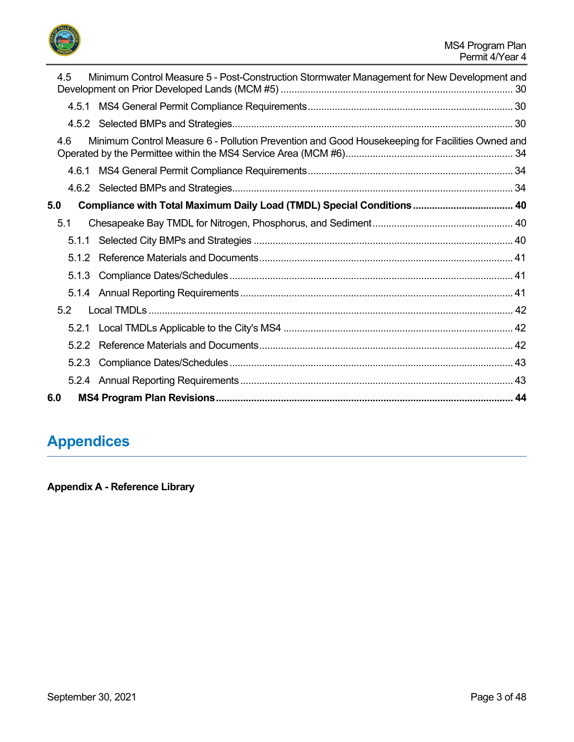

| 4.5   | Minimum Control Measure 5 - Post-Construction Stormwater Management for New Development and     |  |
|-------|-------------------------------------------------------------------------------------------------|--|
|       |                                                                                                 |  |
|       |                                                                                                 |  |
| 4.6   | Minimum Control Measure 6 - Pollution Prevention and Good Housekeeping for Facilities Owned and |  |
| 4.6.1 |                                                                                                 |  |
|       |                                                                                                 |  |
| 5.0   | Compliance with Total Maximum Daily Load (TMDL) Special Conditions 40                           |  |
| 5.1   |                                                                                                 |  |
|       |                                                                                                 |  |
| 512   |                                                                                                 |  |
|       |                                                                                                 |  |
|       |                                                                                                 |  |
| 5.2   |                                                                                                 |  |
|       |                                                                                                 |  |
| 5.2.2 |                                                                                                 |  |
| 5.2.3 |                                                                                                 |  |
|       |                                                                                                 |  |
| 6.0   |                                                                                                 |  |

# **Appendices**

**Appendix A - Reference Library**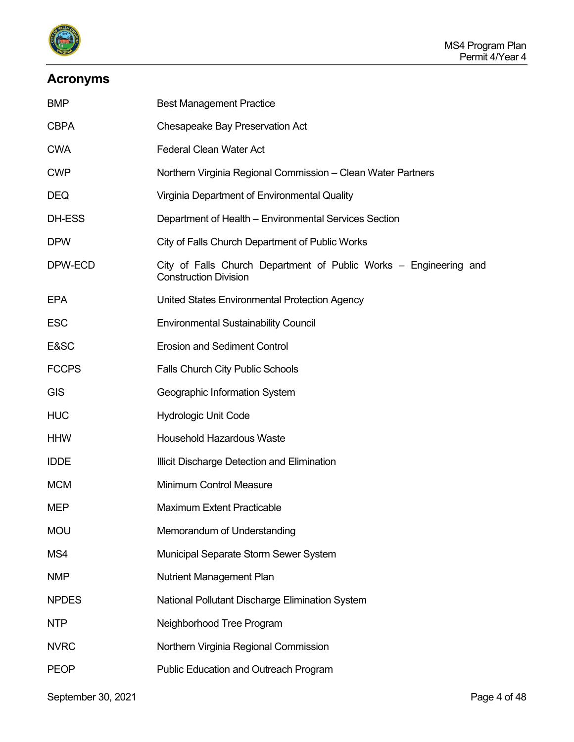

# <span id="page-3-0"></span>**Acronyms**

| <b>BMP</b>   | <b>Best Management Practice</b>                                                                   |
|--------------|---------------------------------------------------------------------------------------------------|
| <b>CBPA</b>  | Chesapeake Bay Preservation Act                                                                   |
| <b>CWA</b>   | <b>Federal Clean Water Act</b>                                                                    |
| <b>CWP</b>   | Northern Virginia Regional Commission - Clean Water Partners                                      |
| <b>DEQ</b>   | Virginia Department of Environmental Quality                                                      |
| DH-ESS       | Department of Health - Environmental Services Section                                             |
| <b>DPW</b>   | City of Falls Church Department of Public Works                                                   |
| DPW-ECD      | City of Falls Church Department of Public Works – Engineering and<br><b>Construction Division</b> |
| <b>EPA</b>   | United States Environmental Protection Agency                                                     |
| <b>ESC</b>   | <b>Environmental Sustainability Council</b>                                                       |
| E&SC         | <b>Erosion and Sediment Control</b>                                                               |
| <b>FCCPS</b> | <b>Falls Church City Public Schools</b>                                                           |
| <b>GIS</b>   | Geographic Information System                                                                     |
| <b>HUC</b>   | <b>Hydrologic Unit Code</b>                                                                       |
| <b>HHW</b>   | <b>Household Hazardous Waste</b>                                                                  |
| <b>IDDE</b>  | Illicit Discharge Detection and Elimination                                                       |
| <b>MCM</b>   | <b>Minimum Control Measure</b>                                                                    |
| MEP          | <b>Maximum Extent Practicable</b>                                                                 |
| <b>MOU</b>   | Memorandum of Understanding                                                                       |
| MS4          | Municipal Separate Storm Sewer System                                                             |
| <b>NMP</b>   | <b>Nutrient Management Plan</b>                                                                   |
| <b>NPDES</b> | National Pollutant Discharge Elimination System                                                   |
| <b>NTP</b>   | Neighborhood Tree Program                                                                         |
| <b>NVRC</b>  | Northern Virginia Regional Commission                                                             |
| <b>PEOP</b>  | Public Education and Outreach Program                                                             |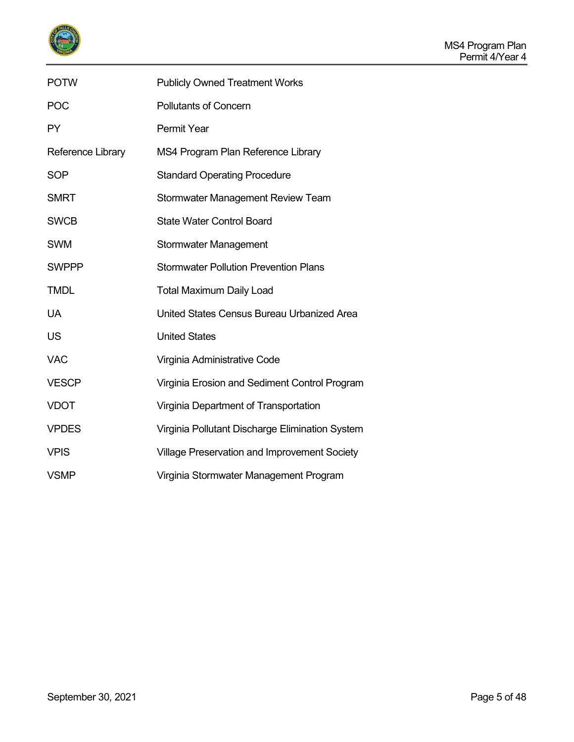

| <b>POTW</b>       | <b>Publicly Owned Treatment Works</b>           |
|-------------------|-------------------------------------------------|
| <b>POC</b>        | <b>Pollutants of Concern</b>                    |
| <b>PY</b>         | <b>Permit Year</b>                              |
| Reference Library | MS4 Program Plan Reference Library              |
| <b>SOP</b>        | <b>Standard Operating Procedure</b>             |
| <b>SMRT</b>       | <b>Stormwater Management Review Team</b>        |
| <b>SWCB</b>       | <b>State Water Control Board</b>                |
| <b>SWM</b>        | <b>Stormwater Management</b>                    |
| <b>SWPPP</b>      | <b>Stormwater Pollution Prevention Plans</b>    |
| <b>TMDL</b>       | <b>Total Maximum Daily Load</b>                 |
| UA                | United States Census Bureau Urbanized Area      |
| <b>US</b>         | <b>United States</b>                            |
| <b>VAC</b>        | Virginia Administrative Code                    |
| <b>VESCP</b>      | Virginia Erosion and Sediment Control Program   |
| <b>VDOT</b>       | Virginia Department of Transportation           |
| <b>VPDES</b>      | Virginia Pollutant Discharge Elimination System |
| <b>VPIS</b>       | Village Preservation and Improvement Society    |
| <b>VSMP</b>       | Virginia Stormwater Management Program          |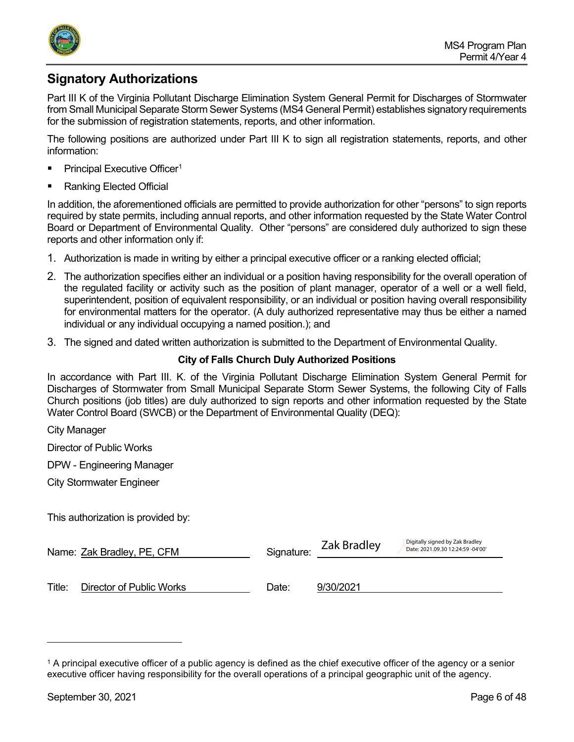

# <span id="page-5-0"></span>**Signatory Authorizations**

Part III K of the Virginia Pollutant Discharge Elimination System General Permit for Discharges of Stormwater from Small Municipal Separate Storm Sewer Systems (MS4 General Permit) establishes signatory requirements for the submission of registration statements, reports, and other information.

The following positions are authorized under Part III K to sign all registration statements, reports, and other information:

- Principal Executive Officer<sup>[1](#page-5-1)</sup>
- Ranking Elected Official

In addition, the aforementioned officials are permitted to provide authorization for other "persons" to sign reports required by state permits, including annual reports, and other information requested by the State Water Control Board or Department of Environmental Quality. Other "persons" are considered duly authorized to sign these reports and other information only if:

- 1. Authorization is made in writing by either a principal executive officer or a ranking elected official;
- 2. The authorization specifies either an individual or a position having responsibility for the overall operation of the regulated facility or activity such as the position of plant manager, operator of a well or a well field, superintendent, position of equivalent responsibility, or an individual or position having overall responsibility for environmental matters for the operator. (A duly authorized representative may thus be either a named individual or any individual occupying a named position.); and
- 3. The signed and dated written authorization is submitted to the Department of Environmental Quality.

#### **City of Falls Church Duly Authorized Positions**

In accordance with Part III. K. of the Virginia Pollutant Discharge Elimination System General Permit for Discharges of Stormwater from Small Municipal Separate Storm Sewer Systems, the following City of Falls Church positions (job titles) are duly authorized to sign reports and other information requested by the State Water Control Board (SWCB) or the Department of Environmental Quality (DEQ):

City Manager

Director of Public Works

DPW - Engineering Manager

City Stormwater Engineer

This authorization is provided by:

|        | Name: Zak Bradley, PE, CFM | Signature: |           | Digitally signed by Zak Bradley<br>Date: 2021.09.30 12:24:59 -04'00' |
|--------|----------------------------|------------|-----------|----------------------------------------------------------------------|
| Title: | Director of Public Works   | Date:      | 9/30/2021 |                                                                      |

<span id="page-5-1"></span><sup>1</sup> A principal executive officer of a public agency is defined as the chief executive officer of the agency or a senior executive officer having responsibility for the overall operations of a principal geographic unit of the agency.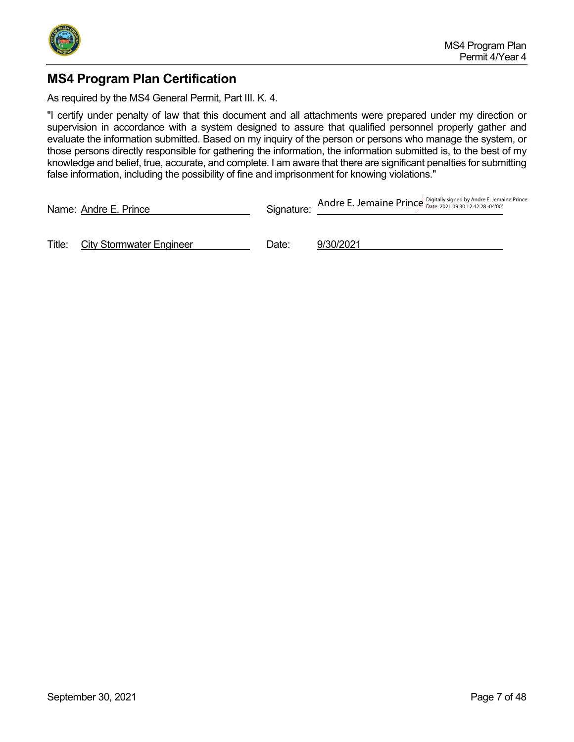

## <span id="page-6-0"></span>**MS4 Program Plan Certification**

As required by the MS4 General Permit, Part III. K. 4.

"I certify under penalty of law that this document and all attachments were prepared under my direction or supervision in accordance with a system designed to assure that qualified personnel properly gather and evaluate the information submitted. Based on my inquiry of the person or persons who manage the system, or those persons directly responsible for gathering the information, the information submitted is, to the best of my knowledge and belief, true, accurate, and complete. I am aware that there are significant penalties for submitting false information, including the possibility of fine and imprisonment for knowing violations."

|        | Name: Andre E. Prince           | Signature: | Andre E. Jemaine Prince Digitally signed by Andre E. Jemaine Prince |  |
|--------|---------------------------------|------------|---------------------------------------------------------------------|--|
| Title: | <b>City Stormwater Engineer</b> | Date:      | 9/30/2021                                                           |  |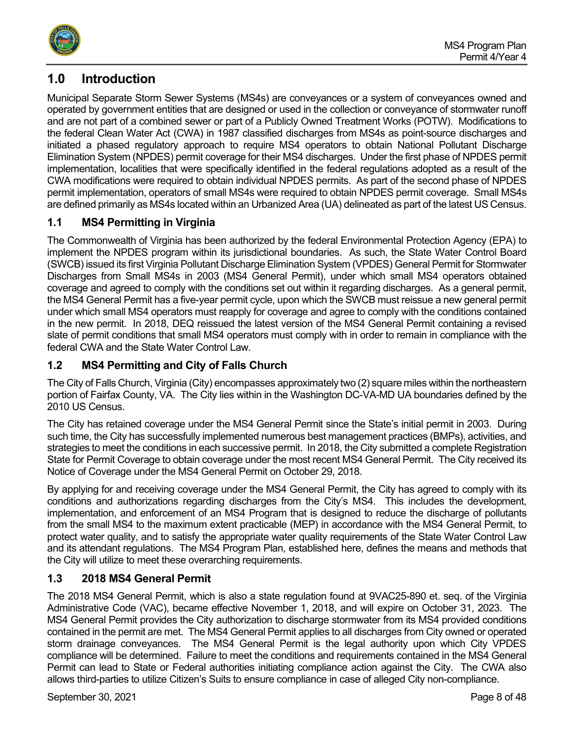

# <span id="page-7-0"></span>**1.0 Introduction**

Municipal Separate Storm Sewer Systems (MS4s) are conveyances or a system of conveyances owned and operated by government entities that are designed or used in the collection or conveyance of stormwater runoff and are not part of a combined sewer or part of a Publicly Owned Treatment Works (POTW). Modifications to the federal Clean Water Act (CWA) in 1987 classified discharges from MS4s as point-source discharges and initiated a phased regulatory approach to require MS4 operators to obtain National Pollutant Discharge Elimination System (NPDES) permit coverage for their MS4 discharges. Under the first phase of NPDES permit implementation, localities that were specifically identified in the federal regulations adopted as a result of the CWA modifications were required to obtain individual NPDES permits. As part of the second phase of NPDES permit implementation, operators of small MS4s were required to obtain NPDES permit coverage. Small MS4s are defined primarily as MS4s located within an Urbanized Area (UA) delineated as part of the latest US Census.

## <span id="page-7-1"></span>**1.1 MS4 Permitting in Virginia**

The Commonwealth of Virginia has been authorized by the federal Environmental Protection Agency (EPA) to implement the NPDES program within its jurisdictional boundaries. As such, the State Water Control Board (SWCB) issued its first Virginia Pollutant Discharge Elimination System (VPDES) General Permit for Stormwater Discharges from Small MS4s in 2003 (MS4 General Permit), under which small MS4 operators obtained coverage and agreed to comply with the conditions set out within it regarding discharges. As a general permit, the MS4 General Permit has a five-year permit cycle, upon which the SWCB must reissue a new general permit under which small MS4 operators must reapply for coverage and agree to comply with the conditions contained in the new permit. In 2018, DEQ reissued the latest version of the MS4 General Permit containing a revised slate of permit conditions that small MS4 operators must comply with in order to remain in compliance with the federal CWA and the State Water Control Law.

## <span id="page-7-2"></span>**1.2 MS4 Permitting and City of Falls Church**

The City of Falls Church, Virginia (City) encompasses approximately two (2) square miles within the northeastern portion of Fairfax County, VA. The City lies within in the Washington DC-VA-MD UA boundaries defined by the 2010 US Census.

The City has retained coverage under the MS4 General Permit since the State's initial permit in 2003. During such time, the City has successfully implemented numerous best management practices (BMPs), activities, and strategies to meet the conditions in each successive permit. In 2018, the City submitted a complete Registration State for Permit Coverage to obtain coverage under the most recent MS4 General Permit. The City received its Notice of Coverage under the MS4 General Permit on October 29, 2018.

By applying for and receiving coverage under the MS4 General Permit, the City has agreed to comply with its conditions and authorizations regarding discharges from the City's MS4. This includes the development, implementation, and enforcement of an MS4 Program that is designed to reduce the discharge of pollutants from the small MS4 to the maximum extent practicable (MEP) in accordance with the MS4 General Permit, to protect water quality, and to satisfy the appropriate water quality requirements of the State Water Control Law and its attendant regulations. The MS4 Program Plan, established here, defines the means and methods that the City will utilize to meet these overarching requirements.

## <span id="page-7-3"></span>**1.3 2018 MS4 General Permit**

The 2018 MS4 General Permit, which is also a state regulation found at 9VAC25-890 et. seq. of the Virginia Administrative Code (VAC), became effective November 1, 2018, and will expire on October 31, 2023. The MS4 General Permit provides the City authorization to discharge stormwater from its MS4 provided conditions contained in the permit are met. The MS4 General Permit applies to all discharges from City owned or operated storm drainage conveyances. The MS4 General Permit is the legal authority upon which City VPDES compliance will be determined. Failure to meet the conditions and requirements contained in the MS4 General Permit can lead to State or Federal authorities initiating compliance action against the City. The CWA also allows third-parties to utilize Citizen's Suits to ensure compliance in case of alleged City non-compliance.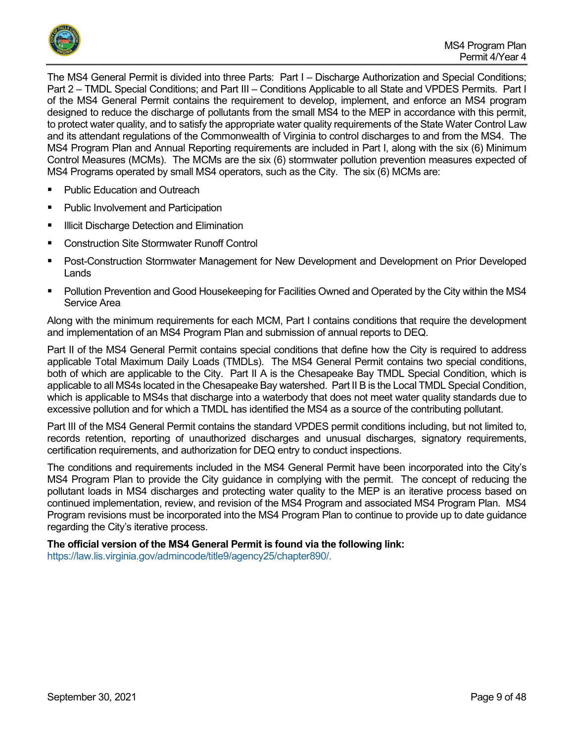

The MS4 General Permit is divided into three Parts: Part I – Discharge Authorization and Special Conditions; Part 2 – TMDL Special Conditions; and Part III – Conditions Applicable to all State and VPDES Permits. Part I of the MS4 General Permit contains the requirement to develop, implement, and enforce an MS4 program designed to reduce the discharge of pollutants from the small MS4 to the MEP in accordance with this permit, to protect water quality, and to satisfy the appropriate water quality requirements of the State Water Control Law and its attendant regulations of the Commonwealth of Virginia to control discharges to and from the MS4. The MS4 Program Plan and Annual Reporting requirements are included in Part I, along with the six (6) Minimum Control Measures (MCMs). The MCMs are the six (6) stormwater pollution prevention measures expected of MS4 Programs operated by small MS4 operators, such as the City. The six (6) MCMs are:

- Public Education and Outreach
- Public Involvement and Participation
- **Illicit Discharge Detection and Elimination**
- Construction Site Stormwater Runoff Control
- Post-Construction Stormwater Management for New Development and Development on Prior Developed Lands
- Pollution Prevention and Good Housekeeping for Facilities Owned and Operated by the City within the MS4 Service Area

Along with the minimum requirements for each MCM, Part I contains conditions that require the development and implementation of an MS4 Program Plan and submission of annual reports to DEQ.

Part II of the MS4 General Permit contains special conditions that define how the City is required to address applicable Total Maximum Daily Loads (TMDLs). The MS4 General Permit contains two special conditions, both of which are applicable to the City. Part II A is the Chesapeake Bay TMDL Special Condition, which is applicable to all MS4s located in the Chesapeake Bay watershed. Part II B is the Local TMDL Special Condition, which is applicable to MS4s that discharge into a waterbody that does not meet water quality standards due to excessive pollution and for which a TMDL has identified the MS4 as a source of the contributing pollutant.

Part III of the MS4 General Permit contains the standard VPDES permit conditions including, but not limited to, records retention, reporting of unauthorized discharges and unusual discharges, signatory requirements, certification requirements, and authorization for DEQ entry to conduct inspections.

The conditions and requirements included in the MS4 General Permit have been incorporated into the City's MS4 Program Plan to provide the City guidance in complying with the permit. The concept of reducing the pollutant loads in MS4 discharges and protecting water quality to the MEP is an iterative process based on continued implementation, review, and revision of the MS4 Program and associated MS4 Program Plan. MS4 Program revisions must be incorporated into the MS4 Program Plan to continue to provide up to date guidance regarding the City's iterative process.

**The official version of the MS4 General Permit is found via the following link:** [https://law.lis.virginia.gov/admincode/title9/agency25/chapter890/.](https://law.lis.virginia.gov/admincode/title9/agency25/chapter890/)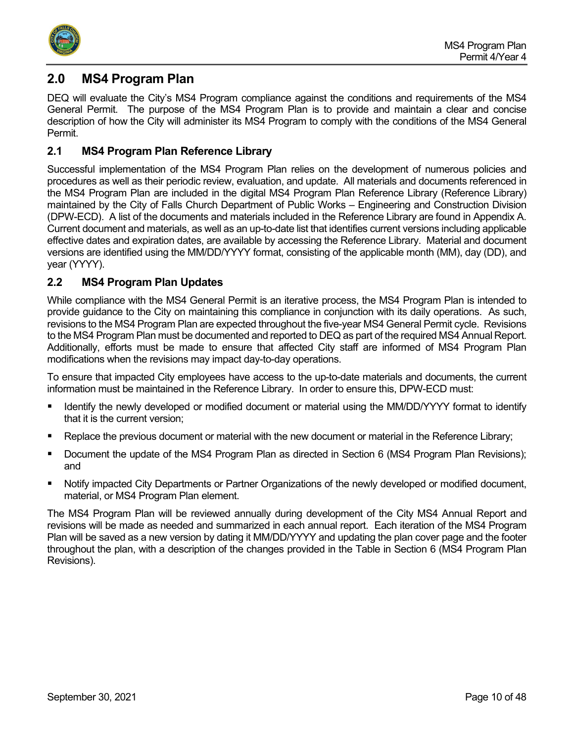

## <span id="page-9-0"></span>**2.0 MS4 Program Plan**

DEQ will evaluate the City's MS4 Program compliance against the conditions and requirements of the MS4 General Permit. The purpose of the MS4 Program Plan is to provide and maintain a clear and concise description of how the City will administer its MS4 Program to comply with the conditions of the MS4 General Permit.

## <span id="page-9-1"></span>**2.1 MS4 Program Plan Reference Library**

Successful implementation of the MS4 Program Plan relies on the development of numerous policies and procedures as well as their periodic review, evaluation, and update. All materials and documents referenced in the MS4 Program Plan are included in the digital MS4 Program Plan Reference Library (Reference Library) maintained by the City of Falls Church Department of Public Works – Engineering and Construction Division (DPW-ECD). A list of the documents and materials included in the Reference Library are found in Appendix A. Current document and materials, as well as an up-to-date list that identifies current versions including applicable effective dates and expiration dates, are available by accessing the Reference Library. Material and document versions are identified using the MM/DD/YYYY format, consisting of the applicable month (MM), day (DD), and year (YYYY).

## <span id="page-9-2"></span>**2.2 MS4 Program Plan Updates**

While compliance with the MS4 General Permit is an iterative process, the MS4 Program Plan is intended to provide guidance to the City on maintaining this compliance in conjunction with its daily operations. As such, revisions to the MS4 Program Plan are expected throughout the five-year MS4 General Permit cycle. Revisions to the MS4 Program Plan must be documented and reported to DEQ as part of the required MS4 Annual Report. Additionally, efforts must be made to ensure that affected City staff are informed of MS4 Program Plan modifications when the revisions may impact day-to-day operations.

To ensure that impacted City employees have access to the up-to-date materials and documents, the current information must be maintained in the Reference Library. In order to ensure this, DPW-ECD must:

- Identify the newly developed or modified document or material using the MM/DD/YYYY format to identify that it is the current version;
- Replace the previous document or material with the new document or material in the Reference Library;
- **Document the update of the MS4 Program Plan as directed in Section 6 (MS4 Program Plan Revisions);** and
- Notify impacted City Departments or Partner Organizations of the newly developed or modified document, material, or MS4 Program Plan element.

The MS4 Program Plan will be reviewed annually during development of the City MS4 Annual Report and revisions will be made as needed and summarized in each annual report. Each iteration of the MS4 Program Plan will be saved as a new version by dating it MM/DD/YYYY and updating the plan cover page and the footer throughout the plan, with a description of the changes provided in the Table in Section 6 (MS4 Program Plan Revisions).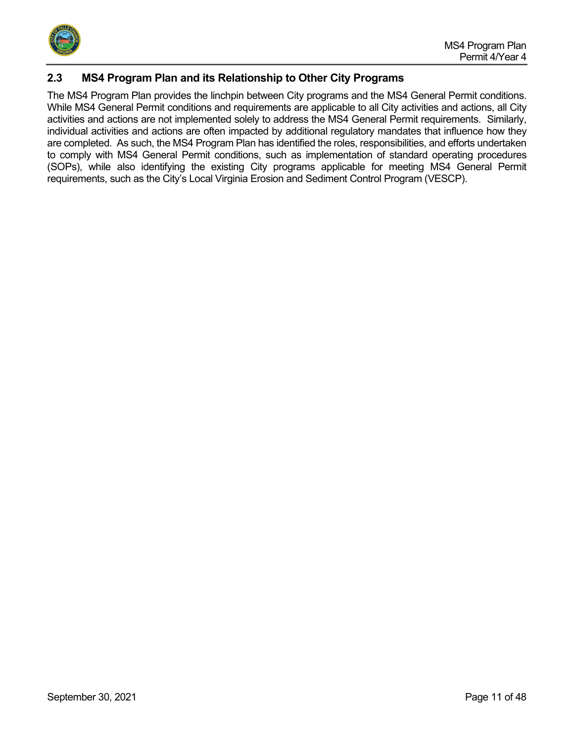

## <span id="page-10-0"></span>**2.3 MS4 Program Plan and its Relationship to Other City Programs**

The MS4 Program Plan provides the linchpin between City programs and the MS4 General Permit conditions. While MS4 General Permit conditions and requirements are applicable to all City activities and actions, all City activities and actions are not implemented solely to address the MS4 General Permit requirements. Similarly, individual activities and actions are often impacted by additional regulatory mandates that influence how they are completed. As such, the MS4 Program Plan has identified the roles, responsibilities, and efforts undertaken to comply with MS4 General Permit conditions, such as implementation of standard operating procedures (SOPs), while also identifying the existing City programs applicable for meeting MS4 General Permit requirements, such as the City's Local Virginia Erosion and Sediment Control Program (VESCP).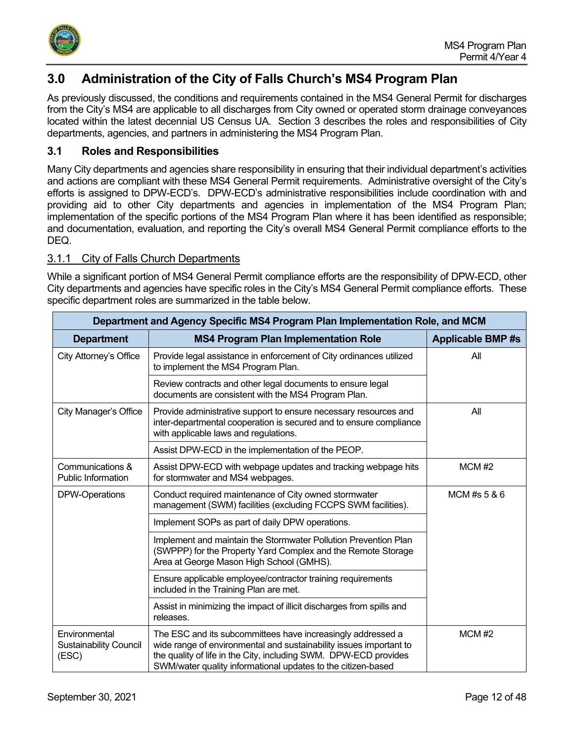

# <span id="page-11-0"></span>**3.0 Administration of the City of Falls Church's MS4 Program Plan**

As previously discussed, the conditions and requirements contained in the MS4 General Permit for discharges from the City's MS4 are applicable to all discharges from City owned or operated storm drainage conveyances located within the latest decennial US Census UA. Section 3 describes the roles and responsibilities of City departments, agencies, and partners in administering the MS4 Program Plan.

## <span id="page-11-1"></span>**3.1 Roles and Responsibilities**

Many City departments and agencies share responsibility in ensuring that their individual department's activities and actions are compliant with these MS4 General Permit requirements. Administrative oversight of the City's efforts is assigned to DPW-ECD's. DPW-ECD's administrative responsibilities include coordination with and providing aid to other City departments and agencies in implementation of the MS4 Program Plan; implementation of the specific portions of the MS4 Program Plan where it has been identified as responsible; and documentation, evaluation, and reporting the City's overall MS4 General Permit compliance efforts to the DEQ.

## <span id="page-11-2"></span>3.1.1 City of Falls Church Departments

While a significant portion of MS4 General Permit compliance efforts are the responsibility of DPW-ECD, other City departments and agencies have specific roles in the City's MS4 General Permit compliance efforts. These specific department roles are summarized in the table below.

| Department and Agency Specific MS4 Program Plan Implementation Role, and MCM |                                                                                                                                                                                                                                                                       |                         |  |  |  |
|------------------------------------------------------------------------------|-----------------------------------------------------------------------------------------------------------------------------------------------------------------------------------------------------------------------------------------------------------------------|-------------------------|--|--|--|
| <b>Department</b>                                                            | <b>MS4 Program Plan Implementation Role</b>                                                                                                                                                                                                                           | <b>Applicable BMP#s</b> |  |  |  |
| City Attorney's Office                                                       | Provide legal assistance in enforcement of City ordinances utilized<br>to implement the MS4 Program Plan.                                                                                                                                                             | All                     |  |  |  |
|                                                                              | Review contracts and other legal documents to ensure legal<br>documents are consistent with the MS4 Program Plan.                                                                                                                                                     |                         |  |  |  |
| City Manager's Office                                                        | Provide administrative support to ensure necessary resources and<br>inter-departmental cooperation is secured and to ensure compliance<br>with applicable laws and regulations.                                                                                       | All                     |  |  |  |
|                                                                              | Assist DPW-ECD in the implementation of the PEOP.                                                                                                                                                                                                                     |                         |  |  |  |
| Communications &<br>Public Information                                       | Assist DPW-ECD with webpage updates and tracking webpage hits<br>for stormwater and MS4 webpages.                                                                                                                                                                     | $MCM$ #2                |  |  |  |
| DPW-Operations                                                               | Conduct required maintenance of City owned stormwater<br>management (SWM) facilities (excluding FCCPS SWM facilities).                                                                                                                                                | MCM #s 5 & 6            |  |  |  |
|                                                                              | Implement SOPs as part of daily DPW operations.                                                                                                                                                                                                                       |                         |  |  |  |
|                                                                              | Implement and maintain the Stormwater Pollution Prevention Plan<br>(SWPPP) for the Property Yard Complex and the Remote Storage<br>Area at George Mason High School (GMHS).                                                                                           |                         |  |  |  |
|                                                                              | Ensure applicable employee/contractor training requirements<br>included in the Training Plan are met.                                                                                                                                                                 |                         |  |  |  |
|                                                                              | Assist in minimizing the impact of illicit discharges from spills and<br>releases.                                                                                                                                                                                    |                         |  |  |  |
| Environmental<br><b>Sustainability Council</b><br>(ESC)                      | The ESC and its subcommittees have increasingly addressed a<br>wide range of environmental and sustainability issues important to<br>the quality of life in the City, including SWM. DPW-ECD provides<br>SWM/water quality informational updates to the citizen-based | $MCM$ #2                |  |  |  |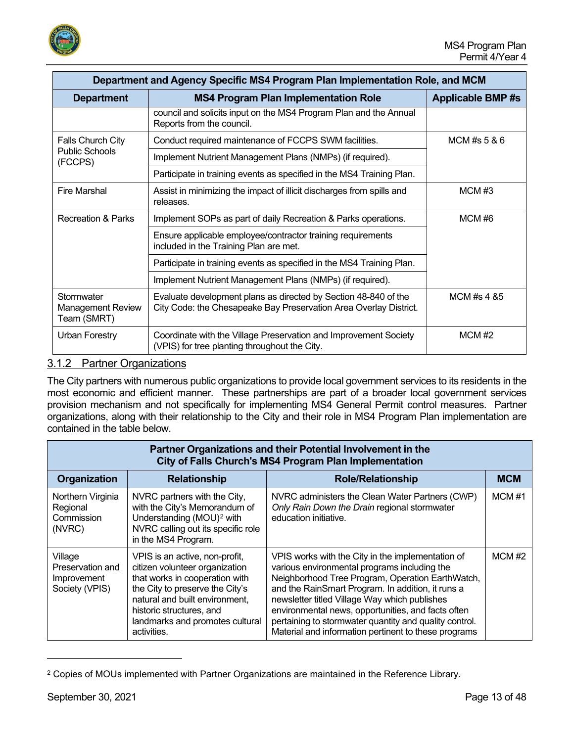

| Department and Agency Specific MS4 Program Plan Implementation Role, and MCM                              |                                                                                                                                      |                |  |  |
|-----------------------------------------------------------------------------------------------------------|--------------------------------------------------------------------------------------------------------------------------------------|----------------|--|--|
| <b>Department</b>                                                                                         | <b>Applicable BMP#s</b>                                                                                                              |                |  |  |
|                                                                                                           | council and solicits input on the MS4 Program Plan and the Annual<br>Reports from the council.                                       |                |  |  |
| Falls Church City                                                                                         | Conduct required maintenance of FCCPS SWM facilities.                                                                                | MCM #s $5 & 6$ |  |  |
| <b>Public Schools</b><br>(FCCPS)                                                                          | Implement Nutrient Management Plans (NMPs) (if required).                                                                            |                |  |  |
|                                                                                                           | Participate in training events as specified in the MS4 Training Plan.                                                                |                |  |  |
| <b>Fire Marshal</b><br>Assist in minimizing the impact of illicit discharges from spills and<br>releases. |                                                                                                                                      | MCMH3          |  |  |
| <b>Recreation &amp; Parks</b>                                                                             | Implement SOPs as part of daily Recreation & Parks operations.                                                                       | MCM#6          |  |  |
|                                                                                                           | Ensure applicable employee/contractor training requirements<br>included in the Training Plan are met.                                |                |  |  |
|                                                                                                           | Participate in training events as specified in the MS4 Training Plan.                                                                |                |  |  |
|                                                                                                           | Implement Nutrient Management Plans (NMPs) (if required).                                                                            |                |  |  |
| Stormwater<br><b>Management Review</b><br>Team (SMRT)                                                     | Evaluate development plans as directed by Section 48-840 of the<br>City Code: the Chesapeake Bay Preservation Area Overlay District. | MCM #s 4 &5    |  |  |
| Urban Forestry                                                                                            | Coordinate with the Village Preservation and Improvement Society<br>(VPIS) for tree planting throughout the City.                    | $MCM$ #2       |  |  |

## <span id="page-12-0"></span>3.1.2 Partner Organizations

The City partners with numerous public organizations to provide local government services to its residents in the most economic and efficient manner. These partnerships are part of a broader local government services provision mechanism and not specifically for implementing MS4 General Permit control measures. Partner organizations, along with their relationship to the City and their role in MS4 Program Plan implementation are contained in the table below.

| Partner Organizations and their Potential Involvement in the<br>City of Falls Church's MS4 Program Plan Implementation                                                                                                                                                                                                |                                                                                                                                                                     |                                                                                                                                                                                                                                                                                                                                                                                                                                     |            |  |  |  |
|-----------------------------------------------------------------------------------------------------------------------------------------------------------------------------------------------------------------------------------------------------------------------------------------------------------------------|---------------------------------------------------------------------------------------------------------------------------------------------------------------------|-------------------------------------------------------------------------------------------------------------------------------------------------------------------------------------------------------------------------------------------------------------------------------------------------------------------------------------------------------------------------------------------------------------------------------------|------------|--|--|--|
| Organization                                                                                                                                                                                                                                                                                                          | <b>Relationship</b>                                                                                                                                                 | <b>Role/Relationship</b>                                                                                                                                                                                                                                                                                                                                                                                                            | <b>MCM</b> |  |  |  |
| Northern Virginia<br>Regional<br>Commission<br>(NVRC)                                                                                                                                                                                                                                                                 | NVRC partners with the City,<br>with the City's Memorandum of<br>Understanding (MOU) <sup>2</sup> with<br>NVRC calling out its specific role<br>in the MS4 Program. | NVRC administers the Clean Water Partners (CWP)<br>Only Rain Down the Drain regional stormwater<br>education initiative.                                                                                                                                                                                                                                                                                                            | MCM#1      |  |  |  |
| Village<br>VPIS is an active, non-profit,<br>Preservation and<br>citizen volunteer organization<br>that works in cooperation with<br>Improvement<br>the City to preserve the City's<br>Society (VPIS)<br>natural and built environment,<br>historic structures, and<br>landmarks and promotes cultural<br>activities. |                                                                                                                                                                     | VPIS works with the City in the implementation of<br>various environmental programs including the<br>Neighborhood Tree Program, Operation EarthWatch,<br>and the RainSmart Program. In addition, it runs a<br>newsletter titled Village Way which publishes<br>environmental news, opportunities, and facts often<br>pertaining to stormwater quantity and quality control.<br>Material and information pertinent to these programs | $MCM$ #2   |  |  |  |

<span id="page-12-1"></span><sup>&</sup>lt;sup>2</sup> Copies of MOUs implemented with Partner Organizations are maintained in the Reference Library.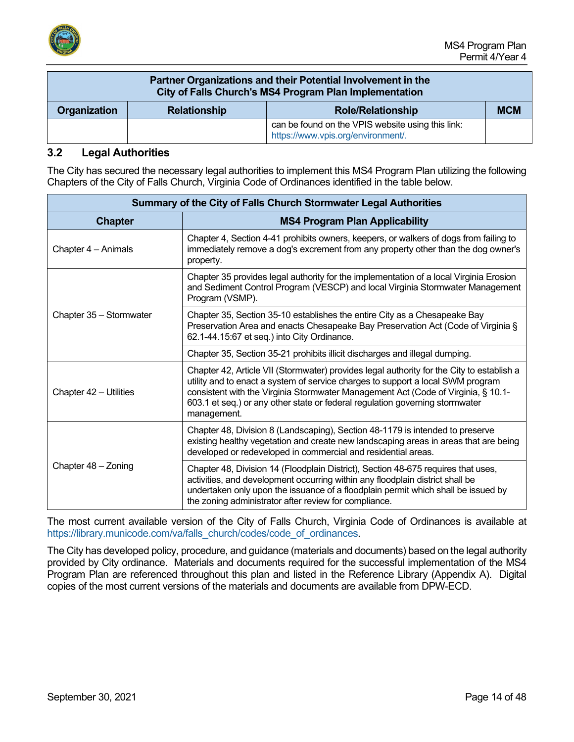

| Partner Organizations and their Potential Involvement in the<br>City of Falls Church's MS4 Program Plan Implementation |                                                               |  |  |  |  |
|------------------------------------------------------------------------------------------------------------------------|---------------------------------------------------------------|--|--|--|--|
| Organization                                                                                                           | <b>MCM</b><br><b>Relationship</b><br><b>Role/Relationship</b> |  |  |  |  |
| can be found on the VPIS website using this link:<br>https://www.vpis.org/environment/.                                |                                                               |  |  |  |  |

#### <span id="page-13-0"></span>**3.2 Legal Authorities**

The City has secured the necessary legal authorities to implement this MS4 Program Plan utilizing the following Chapters of the City of Falls Church, Virginia Code of Ordinances identified in the table below.

| Summary of the City of Falls Church Stormwater Legal Authorities |                                                                                                                                                                                                                                                                                                                                                                  |  |  |  |
|------------------------------------------------------------------|------------------------------------------------------------------------------------------------------------------------------------------------------------------------------------------------------------------------------------------------------------------------------------------------------------------------------------------------------------------|--|--|--|
| <b>MS4 Program Plan Applicability</b><br><b>Chapter</b>          |                                                                                                                                                                                                                                                                                                                                                                  |  |  |  |
| Chapter 4 - Animals                                              | Chapter 4, Section 4-41 prohibits owners, keepers, or walkers of dogs from failing to<br>immediately remove a dog's excrement from any property other than the dog owner's<br>property.                                                                                                                                                                          |  |  |  |
|                                                                  | Chapter 35 provides legal authority for the implementation of a local Virginia Erosion<br>and Sediment Control Program (VESCP) and local Virginia Stormwater Management<br>Program (VSMP).                                                                                                                                                                       |  |  |  |
| Chapter 35 - Stormwater                                          | Chapter 35, Section 35-10 establishes the entire City as a Chesapeake Bay<br>Preservation Area and enacts Chesapeake Bay Preservation Act (Code of Virginia §<br>62.1-44.15:67 et seq.) into City Ordinance.                                                                                                                                                     |  |  |  |
|                                                                  | Chapter 35, Section 35-21 prohibits illicit discharges and illegal dumping.                                                                                                                                                                                                                                                                                      |  |  |  |
| Chapter 42 - Utilities                                           | Chapter 42, Article VII (Stormwater) provides legal authority for the City to establish a<br>utility and to enact a system of service charges to support a local SWM program<br>consistent with the Virginia Stormwater Management Act (Code of Virginia, § 10.1-<br>603.1 et seq.) or any other state or federal regulation governing stormwater<br>management. |  |  |  |
|                                                                  | Chapter 48, Division 8 (Landscaping), Section 48-1179 is intended to preserve<br>existing healthy vegetation and create new landscaping areas in areas that are being<br>developed or redeveloped in commercial and residential areas.                                                                                                                           |  |  |  |
| Chapter 48 - Zoning                                              | Chapter 48, Division 14 (Floodplain District), Section 48-675 requires that uses,<br>activities, and development occurring within any floodplain district shall be<br>undertaken only upon the issuance of a floodplain permit which shall be issued by<br>the zoning administrator after review for compliance.                                                 |  |  |  |

The most current available version of the City of Falls Church, Virginia Code of Ordinances is available at [https://library.municode.com/va/falls\\_church/codes/code\\_of\\_ordinances.](https://library.municode.com/va/falls_church/codes/code_of_ordinances)

The City has developed policy, procedure, and guidance (materials and documents) based on the legal authority provided by City ordinance. Materials and documents required for the successful implementation of the MS4 Program Plan are referenced throughout this plan and listed in the Reference Library (Appendix A). Digital copies of the most current versions of the materials and documents are available from DPW-ECD.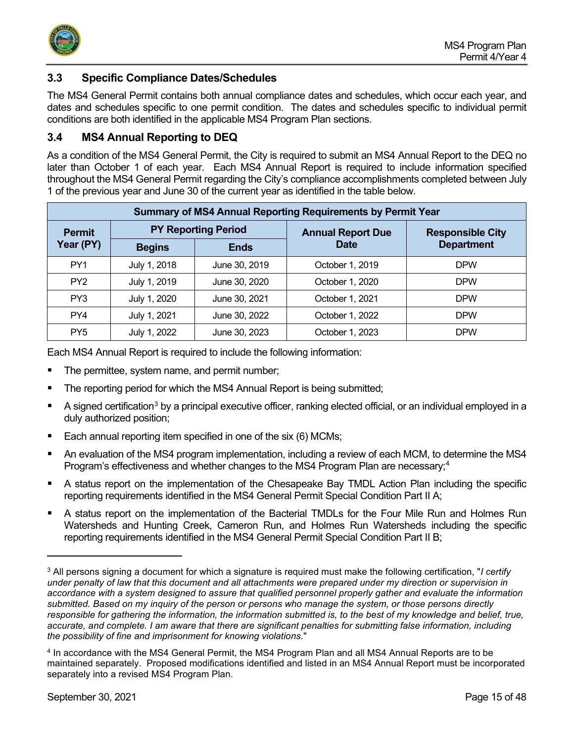

## <span id="page-14-0"></span>**3.3 Specific Compliance Dates/Schedules**

The MS4 General Permit contains both annual compliance dates and schedules, which occur each year, and dates and schedules specific to one permit condition. The dates and schedules specific to individual permit conditions are both identified in the applicable MS4 Program Plan sections.

## <span id="page-14-1"></span>**3.4 MS4 Annual Reporting to DEQ**

As a condition of the MS4 General Permit, the City is required to submit an MS4 Annual Report to the DEQ no later than October 1 of each year. Each MS4 Annual Report is required to include information specified throughout the MS4 General Permit regarding the City's compliance accomplishments completed between July 1 of the previous year and June 30 of the current year as identified in the table below.

| <b>Summary of MS4 Annual Reporting Requirements by Permit Year</b> |                            |               |                          |                         |  |
|--------------------------------------------------------------------|----------------------------|---------------|--------------------------|-------------------------|--|
| <b>Permit</b>                                                      | <b>PY Reporting Period</b> |               | <b>Annual Report Due</b> | <b>Responsible City</b> |  |
| Year (PY)                                                          | <b>Begins</b>              | <b>Ends</b>   | <b>Date</b>              | <b>Department</b>       |  |
| PY <sub>1</sub>                                                    | July 1, 2018               | June 30, 2019 | October 1, 2019          | <b>DPW</b>              |  |
| PY <sub>2</sub>                                                    | July 1, 2019               | June 30, 2020 | October 1, 2020          | <b>DPW</b>              |  |
| PY3                                                                | July 1, 2020               | June 30, 2021 | October 1, 2021          | <b>DPW</b>              |  |
| PY4                                                                | July 1, 2021               | June 30, 2022 | October 1, 2022          | <b>DPW</b>              |  |
| PY <sub>5</sub>                                                    | July 1, 2022               | June 30, 2023 | October 1, 2023          | <b>DPW</b>              |  |

Each MS4 Annual Report is required to include the following information:

- The permittee, system name, and permit number;
- The reporting period for which the MS4 Annual Report is being submitted;
- A signed certification<sup>[3](#page-14-2)</sup> by a principal executive officer, ranking elected official, or an individual employed in a duly authorized position;
- Each annual reporting item specified in one of the six (6) MCMs;
- An evaluation of the MS4 program implementation, including a review of each MCM, to determine the MS4 Program's effectiveness and whether changes to the MS[4](#page-14-3) Program Plan are necessary;<sup>4</sup>
- A status report on the implementation of the Chesapeake Bay TMDL Action Plan including the specific reporting requirements identified in the MS4 General Permit Special Condition Part II A;
- A status report on the implementation of the Bacterial TMDLs for the Four Mile Run and Holmes Run Watersheds and Hunting Creek, Cameron Run, and Holmes Run Watersheds including the specific reporting requirements identified in the MS4 General Permit Special Condition Part II B;

<span id="page-14-2"></span><sup>3</sup> All persons signing a document for which a signature is required must make the following certification, "*I certify under penalty of law that this document and all attachments were prepared under my direction or supervision in accordance with a system designed to assure that qualified personnel properly gather and evaluate the information submitted. Based on my inquiry of the person or persons who manage the system, or those persons directly responsible for gathering the information, the information submitted is, to the best of my knowledge and belief, true,* accurate, and complete. I am aware that there are significant penalties for submitting false information, including *the possibility of fine and imprisonment for knowing violations.*"

<span id="page-14-3"></span><sup>4</sup> In accordance with the MS4 General Permit, the MS4 Program Plan and all MS4 Annual Reports are to be maintained separately. Proposed modifications identified and listed in an MS4 Annual Report must be incorporated separately into a revised MS4 Program Plan.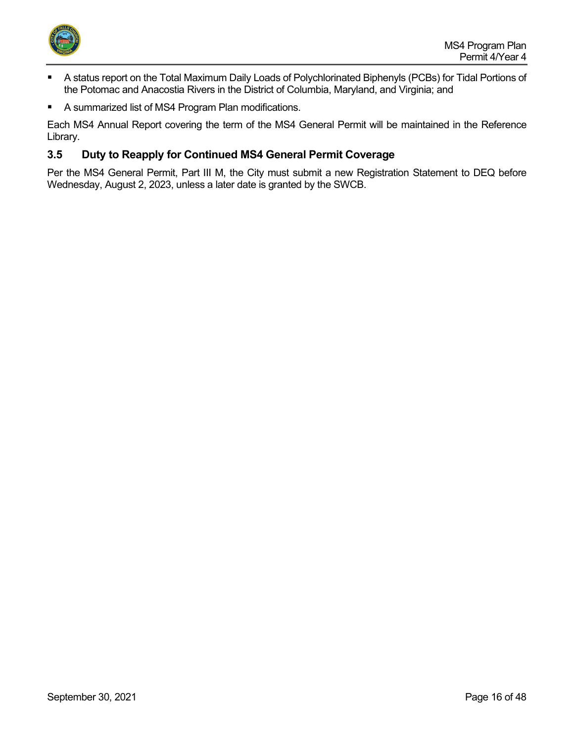

- A status report on the Total Maximum Daily Loads of Polychlorinated Biphenyls (PCBs) for Tidal Portions of the Potomac and Anacostia Rivers in the District of Columbia, Maryland, and Virginia; and
- A summarized list of MS4 Program Plan modifications.

Each MS4 Annual Report covering the term of the MS4 General Permit will be maintained in the Reference Library.

## <span id="page-15-0"></span>**3.5 Duty to Reapply for Continued MS4 General Permit Coverage**

Per the MS4 General Permit, Part III M, the City must submit a new Registration Statement to DEQ before Wednesday, August 2, 2023, unless a later date is granted by the SWCB.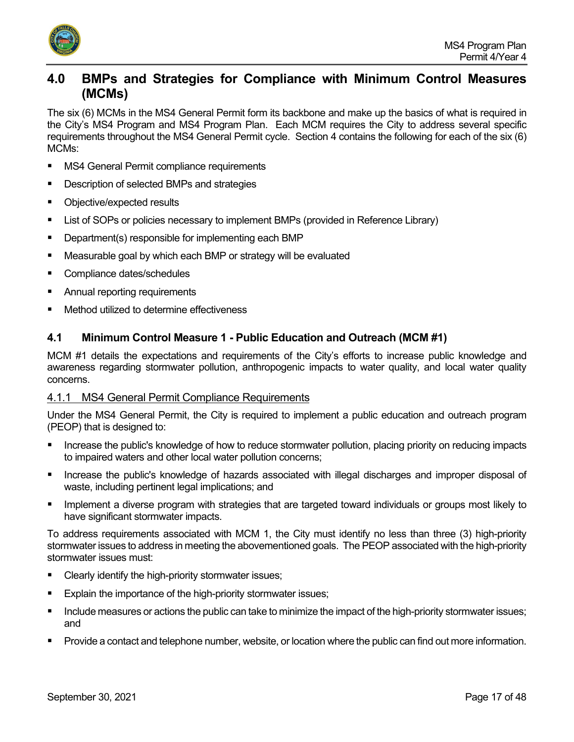

## <span id="page-16-0"></span>**4.0 BMPs and Strategies for Compliance with Minimum Control Measures (MCMs)**

The six (6) MCMs in the MS4 General Permit form its backbone and make up the basics of what is required in the City's MS4 Program and MS4 Program Plan. Each MCM requires the City to address several specific requirements throughout the MS4 General Permit cycle. Section 4 contains the following for each of the six (6) MCMs:

- MS4 General Permit compliance requirements
- Description of selected BMPs and strategies
- Objective/expected results
- **EXECT** List of SOPs or policies necessary to implement BMPs (provided in Reference Library)
- Department(s) responsible for implementing each BMP
- Measurable goal by which each BMP or strategy will be evaluated
- **Compliance dates/schedules**
- **EXEC** Annual reporting requirements
- Method utilized to determine effectiveness

## <span id="page-16-1"></span>**4.1 Minimum Control Measure 1 - Public Education and Outreach (MCM #1)**

MCM #1 details the expectations and requirements of the City's efforts to increase public knowledge and awareness regarding stormwater pollution, anthropogenic impacts to water quality, and local water quality concerns.

## <span id="page-16-2"></span>4.1.1 MS4 General Permit Compliance Requirements

Under the MS4 General Permit, the City is required to implement a public education and outreach program (PEOP) that is designed to:

- Increase the public's knowledge of how to reduce stormwater pollution, placing priority on reducing impacts to impaired waters and other local water pollution concerns;
- **Increase the public's knowledge of hazards associated with illegal discharges and improper disposal of** waste, including pertinent legal implications; and
- Implement a diverse program with strategies that are targeted toward individuals or groups most likely to have significant stormwater impacts.

To address requirements associated with MCM 1, the City must identify no less than three (3) high-priority stormwater issues to address in meeting the abovementioned goals. The PEOP associated with the high-priority stormwater issues must:

- **Clearly identify the high-priority stormwater issues;**
- Explain the importance of the high-priority stormwater issues;
- Include measures or actions the public can take to minimize the impact of the high-priority stormwater issues; and
- Provide a contact and telephone number, website, or location where the public can find out more information.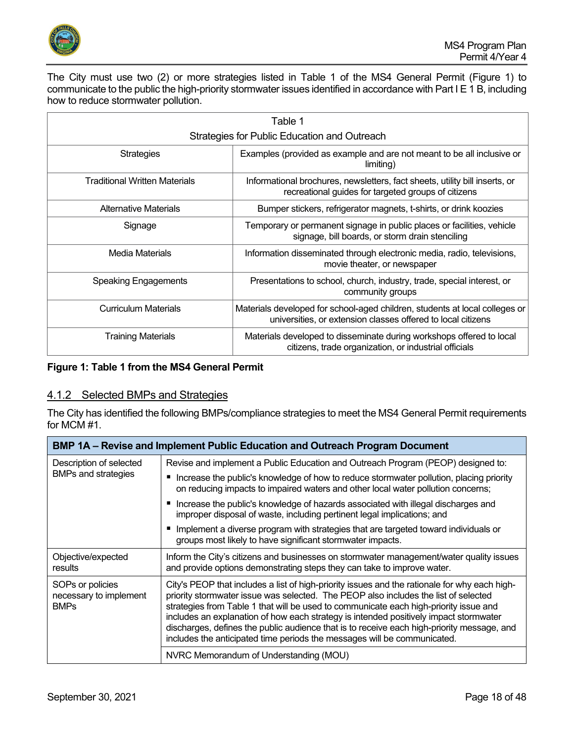

The City must use two (2) or more strategies listed in Table 1 of the MS4 General Permit (Figure 1) to communicate to the public the high-priority stormwater issues identified in accordance with Part I E 1 B, including how to reduce stormwater pollution.

| Table 1                                      |                                                                                                                                             |
|----------------------------------------------|---------------------------------------------------------------------------------------------------------------------------------------------|
| Strategies for Public Education and Outreach |                                                                                                                                             |
| <b>Strategies</b>                            | Examples (provided as example and are not meant to be all inclusive or<br>limiting)                                                         |
| <b>Traditional Written Materials</b>         | Informational brochures, newsletters, fact sheets, utility bill inserts, or<br>recreational guides for targeted groups of citizens          |
| Alternative Materials                        | Bumper stickers, refrigerator magnets, t-shirts, or drink koozies                                                                           |
| Signage                                      | Temporary or permanent signage in public places or facilities, vehicle<br>signage, bill boards, or storm drain stenciling                   |
| Media Materials                              | Information disseminated through electronic media, radio, televisions,<br>movie theater, or newspaper                                       |
| <b>Speaking Engagements</b>                  | Presentations to school, church, industry, trade, special interest, or<br>community groups                                                  |
| <b>Curriculum Materials</b>                  | Materials developed for school-aged children, students at local colleges or<br>universities, or extension classes offered to local citizens |
| <b>Training Materials</b>                    | Materials developed to disseminate during workshops offered to local<br>citizens, trade organization, or industrial officials               |

#### **Figure 1: Table 1 from the MS4 General Permit**

## <span id="page-17-0"></span>4.1.2 Selected BMPs and Strategies

The City has identified the following BMPs/compliance strategies to meet the MS4 General Permit requirements for MCM #1.

|                                                           | <b>BMP 1A – Revise and Implement Public Education and Outreach Program Document</b>                                                                                                                                                                                                                                                                                                                                                                                                                                                              |  |
|-----------------------------------------------------------|--------------------------------------------------------------------------------------------------------------------------------------------------------------------------------------------------------------------------------------------------------------------------------------------------------------------------------------------------------------------------------------------------------------------------------------------------------------------------------------------------------------------------------------------------|--|
| Description of selected<br><b>BMPs and strategies</b>     | Revise and implement a Public Education and Outreach Program (PEOP) designed to:                                                                                                                                                                                                                                                                                                                                                                                                                                                                 |  |
|                                                           | ■ Increase the public's knowledge of how to reduce stormwater pollution, placing priority<br>on reducing impacts to impaired waters and other local water pollution concerns;                                                                                                                                                                                                                                                                                                                                                                    |  |
|                                                           | ■ Increase the public's knowledge of hazards associated with illegal discharges and<br>improper disposal of waste, including pertinent legal implications; and                                                                                                                                                                                                                                                                                                                                                                                   |  |
|                                                           | Implement a diverse program with strategies that are targeted toward individuals or<br>groups most likely to have significant stormwater impacts.                                                                                                                                                                                                                                                                                                                                                                                                |  |
| Objective/expected<br>results                             | Inform the City's citizens and businesses on stormwater management/water quality issues<br>and provide options demonstrating steps they can take to improve water.                                                                                                                                                                                                                                                                                                                                                                               |  |
| SOPs or policies<br>necessary to implement<br><b>BMPs</b> | City's PEOP that includes a list of high-priority issues and the rationale for why each high-<br>priority stormwater issue was selected. The PEOP also includes the list of selected<br>strategies from Table 1 that will be used to communicate each high-priority issue and<br>includes an explanation of how each strategy is intended positively impact stormwater<br>discharges, defines the public audience that is to receive each high-priority message, and<br>includes the anticipated time periods the messages will be communicated. |  |
|                                                           | NVRC Memorandum of Understanding (MOU)                                                                                                                                                                                                                                                                                                                                                                                                                                                                                                           |  |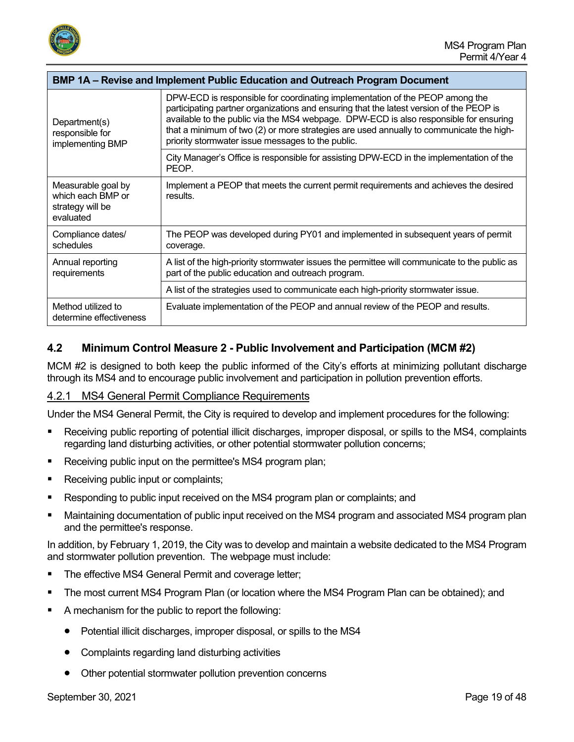

| <b>BMP 1A – Revise and Implement Public Education and Outreach Program Document</b> |                                                                                                                                                                                                                                                                                                                                                                                                                  |
|-------------------------------------------------------------------------------------|------------------------------------------------------------------------------------------------------------------------------------------------------------------------------------------------------------------------------------------------------------------------------------------------------------------------------------------------------------------------------------------------------------------|
| Department(s)<br>responsible for<br>implementing BMP                                | DPW-ECD is responsible for coordinating implementation of the PEOP among the<br>participating partner organizations and ensuring that the latest version of the PEOP is<br>available to the public via the MS4 webpage. DPW-ECD is also responsible for ensuring<br>that a minimum of two (2) or more strategies are used annually to communicate the high-<br>priority stormwater issue messages to the public. |
|                                                                                     | City Manager's Office is responsible for assisting DPW-ECD in the implementation of the<br>PEOP.                                                                                                                                                                                                                                                                                                                 |
| Measurable goal by<br>which each BMP or<br>strategy will be<br>evaluated            | Implement a PEOP that meets the current permit requirements and achieves the desired<br>results.                                                                                                                                                                                                                                                                                                                 |
| Compliance dates/<br>schedules                                                      | The PEOP was developed during PY01 and implemented in subsequent years of permit<br>coverage.                                                                                                                                                                                                                                                                                                                    |
| Annual reporting<br>requirements                                                    | A list of the high-priority stormwater issues the permittee will communicate to the public as<br>part of the public education and outreach program.                                                                                                                                                                                                                                                              |
|                                                                                     | A list of the strategies used to communicate each high-priority stormwater issue.                                                                                                                                                                                                                                                                                                                                |
| Method utilized to<br>determine effectiveness                                       | Evaluate implementation of the PEOP and annual review of the PEOP and results.                                                                                                                                                                                                                                                                                                                                   |

## <span id="page-18-0"></span>**4.2 Minimum Control Measure 2 - Public Involvement and Participation (MCM #2)**

MCM #2 is designed to both keep the public informed of the City's efforts at minimizing pollutant discharge through its MS4 and to encourage public involvement and participation in pollution prevention efforts.

## <span id="page-18-1"></span>4.2.1 MS4 General Permit Compliance Requirements

Under the MS4 General Permit, the City is required to develop and implement procedures for the following:

- Receiving public reporting of potential illicit discharges, improper disposal, or spills to the MS4, complaints regarding land disturbing activities, or other potential stormwater pollution concerns;
- Receiving public input on the permittee's MS4 program plan;
- Receiving public input or complaints;
- Responding to public input received on the MS4 program plan or complaints; and
- Maintaining documentation of public input received on the MS4 program and associated MS4 program plan and the permittee's response.

In addition, by February 1, 2019, the City was to develop and maintain a website dedicated to the MS4 Program and stormwater pollution prevention. The webpage must include:

- The effective MS4 General Permit and coverage letter;
- The most current MS4 Program Plan (or location where the MS4 Program Plan can be obtained); and
- A mechanism for the public to report the following:
	- Potential illicit discharges, improper disposal, or spills to the MS4
	- Complaints regarding land disturbing activities
	- Other potential stormwater pollution prevention concerns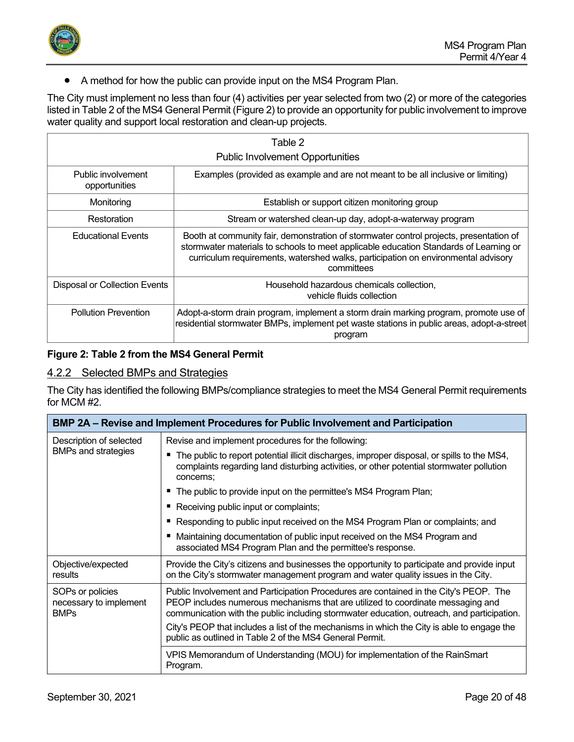

• A method for how the public can provide input on the MS4 Program Plan.

The City must implement no less than four (4) activities per year selected from two (2) or more of the categories listed in Table 2 of the MS4 General Permit (Figure 2) to provide an opportunity for public involvement to improve water quality and support local restoration and clean-up projects.

| Table 2                                 |                                                                                                                                                                                                                                                                                    |
|-----------------------------------------|------------------------------------------------------------------------------------------------------------------------------------------------------------------------------------------------------------------------------------------------------------------------------------|
| <b>Public Involvement Opportunities</b> |                                                                                                                                                                                                                                                                                    |
| Public involvement<br>opportunities     | Examples (provided as example and are not meant to be all inclusive or limiting)                                                                                                                                                                                                   |
| Monitoring                              | Establish or support citizen monitoring group                                                                                                                                                                                                                                      |
| Restoration                             | Stream or watershed clean-up day, adopt-a-waterway program                                                                                                                                                                                                                         |
| <b>Educational Events</b>               | Booth at community fair, demonstration of stormwater control projects, presentation of<br>stormwater materials to schools to meet applicable education Standards of Learning or<br>curriculum requirements, watershed walks, participation on environmental advisory<br>committees |
| Disposal or Collection Events           | Household hazardous chemicals collection,<br>vehicle fluids collection                                                                                                                                                                                                             |
| <b>Pollution Prevention</b>             | Adopt-a-storm drain program, implement a storm drain marking program, promote use of<br>residential stormwater BMPs, implement pet waste stations in public areas, adopt-a-street<br>program                                                                                       |

## **Figure 2: Table 2 from the MS4 General Permit**

## <span id="page-19-0"></span>4.2.2 Selected BMPs and Strategies

The City has identified the following BMPs/compliance strategies to meet the MS4 General Permit requirements for MCM #2.

|                                                           | <b>BMP 2A – Revise and Implement Procedures for Public Involvement and Participation</b>                                                                                                                                                                                                                                                                                                                                         |  |
|-----------------------------------------------------------|----------------------------------------------------------------------------------------------------------------------------------------------------------------------------------------------------------------------------------------------------------------------------------------------------------------------------------------------------------------------------------------------------------------------------------|--|
| Description of selected<br><b>BMPs and strategies</b>     | Revise and implement procedures for the following:                                                                                                                                                                                                                                                                                                                                                                               |  |
|                                                           | ■ The public to report potential illicit discharges, improper disposal, or spills to the MS4,<br>complaints regarding land disturbing activities, or other potential stormwater pollution<br>concerns;                                                                                                                                                                                                                           |  |
|                                                           | ■ The public to provide input on the permittee's MS4 Program Plan;                                                                                                                                                                                                                                                                                                                                                               |  |
|                                                           | ■ Receiving public input or complaints;                                                                                                                                                                                                                                                                                                                                                                                          |  |
|                                                           | ■ Responding to public input received on the MS4 Program Plan or complaints; and                                                                                                                                                                                                                                                                                                                                                 |  |
|                                                           | Maintaining documentation of public input received on the MS4 Program and<br>associated MS4 Program Plan and the permittee's response.                                                                                                                                                                                                                                                                                           |  |
| Objective/expected<br>results                             | Provide the City's citizens and businesses the opportunity to participate and provide input<br>on the City's stormwater management program and water quality issues in the City.                                                                                                                                                                                                                                                 |  |
| SOPs or policies<br>necessary to implement<br><b>BMPs</b> | Public Involvement and Participation Procedures are contained in the City's PEOP. The<br>PEOP includes numerous mechanisms that are utilized to coordinate messaging and<br>communication with the public including stormwater education, outreach, and participation.<br>City's PEOP that includes a list of the mechanisms in which the City is able to engage the<br>public as outlined in Table 2 of the MS4 General Permit. |  |
|                                                           | VPIS Memorandum of Understanding (MOU) for implementation of the RainSmart<br>Program.                                                                                                                                                                                                                                                                                                                                           |  |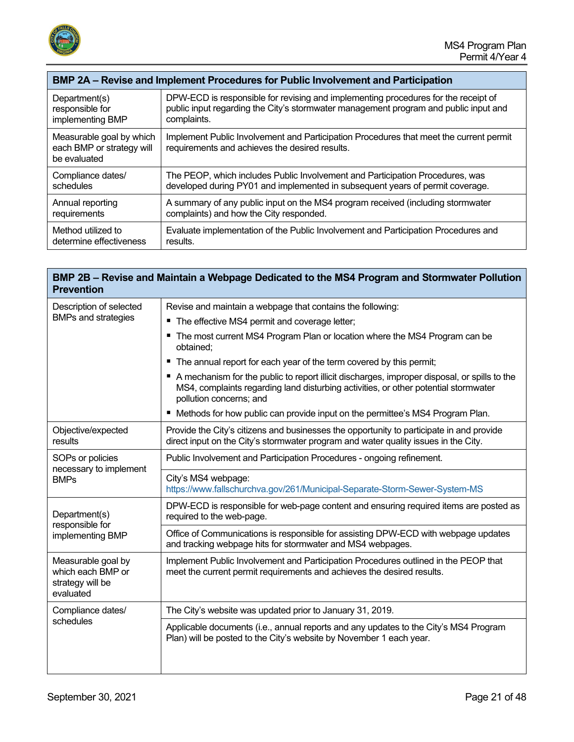

| BMP 2A – Revise and Implement Procedures for Public Involvement and Participation |                                                                                                                                          |
|-----------------------------------------------------------------------------------|------------------------------------------------------------------------------------------------------------------------------------------|
| Department(s)                                                                     | DPW-ECD is responsible for revising and implementing procedures for the receipt of                                                       |
| responsible for                                                                   | public input regarding the City's stormwater management program and public input and                                                     |
| implementing BMP                                                                  | complaints.                                                                                                                              |
| Measurable goal by which<br>each BMP or strategy will<br>be evaluated             | Implement Public Involvement and Participation Procedures that meet the current permit<br>requirements and achieves the desired results. |
| Compliance dates/                                                                 | The PEOP, which includes Public Involvement and Participation Procedures, was                                                            |
| schedules                                                                         | developed during PY01 and implemented in subsequent years of permit coverage.                                                            |
| Annual reporting                                                                  | A summary of any public input on the MS4 program received (including stormwater                                                          |
| requirements                                                                      | complaints) and how the City responded.                                                                                                  |
| Method utilized to                                                                | Evaluate implementation of the Public Involvement and Participation Procedures and                                                       |
| determine effectiveness                                                           | results.                                                                                                                                 |

## **BMP 2B – Revise and Maintain a Webpage Dedicated to the MS4 Program and Stormwater Pollution Prevention**

| Description of selected<br><b>BMPs and strategies</b>                    | Revise and maintain a webpage that contains the following:                                                                                                                                                     |
|--------------------------------------------------------------------------|----------------------------------------------------------------------------------------------------------------------------------------------------------------------------------------------------------------|
|                                                                          | " The effective MS4 permit and coverage letter;                                                                                                                                                                |
|                                                                          | The most current MS4 Program Plan or location where the MS4 Program can be<br>obtained;                                                                                                                        |
|                                                                          | The annual report for each year of the term covered by this permit;<br>ш                                                                                                                                       |
|                                                                          | A mechanism for the public to report illicit discharges, improper disposal, or spills to the<br>MS4, complaints regarding land disturbing activities, or other potential stormwater<br>pollution concerns; and |
|                                                                          | Methods for how public can provide input on the permittee's MS4 Program Plan.                                                                                                                                  |
| Objective/expected<br>results                                            | Provide the City's citizens and businesses the opportunity to participate in and provide<br>direct input on the City's stormwater program and water quality issues in the City.                                |
| SOPs or policies<br>necessary to implement<br><b>BMPs</b>                | Public Involvement and Participation Procedures - ongoing refinement.                                                                                                                                          |
|                                                                          | City's MS4 webpage:<br>https://www.fallschurchva.gov/261/Municipal-Separate-Storm-Sewer-System-MS                                                                                                              |
| Department(s)<br>responsible for<br>implementing BMP                     | DPW-ECD is responsible for web-page content and ensuring required items are posted as<br>required to the web-page.                                                                                             |
|                                                                          | Office of Communications is responsible for assisting DPW-ECD with webpage updates<br>and tracking webpage hits for stormwater and MS4 webpages.                                                               |
| Measurable goal by<br>which each BMP or<br>strategy will be<br>evaluated | Implement Public Involvement and Participation Procedures outlined in the PEOP that<br>meet the current permit requirements and achieves the desired results.                                                  |
| Compliance dates/<br>schedules                                           | The City's website was updated prior to January 31, 2019.                                                                                                                                                      |
|                                                                          | Applicable documents (i.e., annual reports and any updates to the City's MS4 Program<br>Plan) will be posted to the City's website by November 1 each year.                                                    |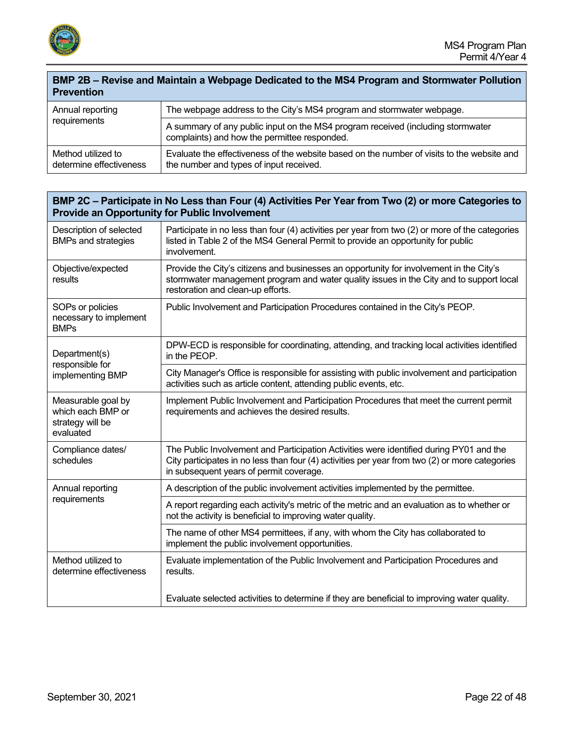

#### **BMP 2B – Revise and Maintain a Webpage Dedicated to the MS4 Program and Stormwater Pollution Prevention**

| Annual reporting<br>requirements              | The webpage address to the City's MS4 program and stormwater webpage.                                                                 |
|-----------------------------------------------|---------------------------------------------------------------------------------------------------------------------------------------|
|                                               | A summary of any public input on the MS4 program received (including stormwater<br>complaints) and how the permittee responded.       |
| Method utilized to<br>determine effectiveness | Evaluate the effectiveness of the website based on the number of visits to the website and<br>the number and types of input received. |

## **BMP 2C – Participate in No Less than Four (4) Activities Per Year from Two (2) or more Categories to Provide an Opportunity for Public Involvement**

| Description of selected<br><b>BMPs and strategies</b>                    | Participate in no less than four (4) activities per year from two (2) or more of the categories<br>listed in Table 2 of the MS4 General Permit to provide an opportunity for public<br>involvement.                                  |
|--------------------------------------------------------------------------|--------------------------------------------------------------------------------------------------------------------------------------------------------------------------------------------------------------------------------------|
| Objective/expected<br>results                                            | Provide the City's citizens and businesses an opportunity for involvement in the City's<br>stormwater management program and water quality issues in the City and to support local<br>restoration and clean-up efforts.              |
| SOPs or policies<br>necessary to implement<br><b>BMPs</b>                | Public Involvement and Participation Procedures contained in the City's PEOP.                                                                                                                                                        |
| Department(s)<br>responsible for<br>implementing BMP                     | DPW-ECD is responsible for coordinating, attending, and tracking local activities identified<br>in the PEOP.                                                                                                                         |
|                                                                          | City Manager's Office is responsible for assisting with public involvement and participation<br>activities such as article content, attending public events, etc.                                                                    |
| Measurable goal by<br>which each BMP or<br>strategy will be<br>evaluated | Implement Public Involvement and Participation Procedures that meet the current permit<br>requirements and achieves the desired results.                                                                                             |
| Compliance dates/<br>schedules                                           | The Public Involvement and Participation Activities were identified during PY01 and the<br>City participates in no less than four (4) activities per year from two (2) or more categories<br>in subsequent years of permit coverage. |
| Annual reporting<br>requirements                                         | A description of the public involvement activities implemented by the permittee.                                                                                                                                                     |
|                                                                          | A report regarding each activity's metric of the metric and an evaluation as to whether or<br>not the activity is beneficial to improving water quality.                                                                             |
|                                                                          | The name of other MS4 permittees, if any, with whom the City has collaborated to<br>implement the public involvement opportunities.                                                                                                  |
| Method utilized to<br>determine effectiveness                            | Evaluate implementation of the Public Involvement and Participation Procedures and<br>results.                                                                                                                                       |
|                                                                          | Evaluate selected activities to determine if they are beneficial to improving water quality.                                                                                                                                         |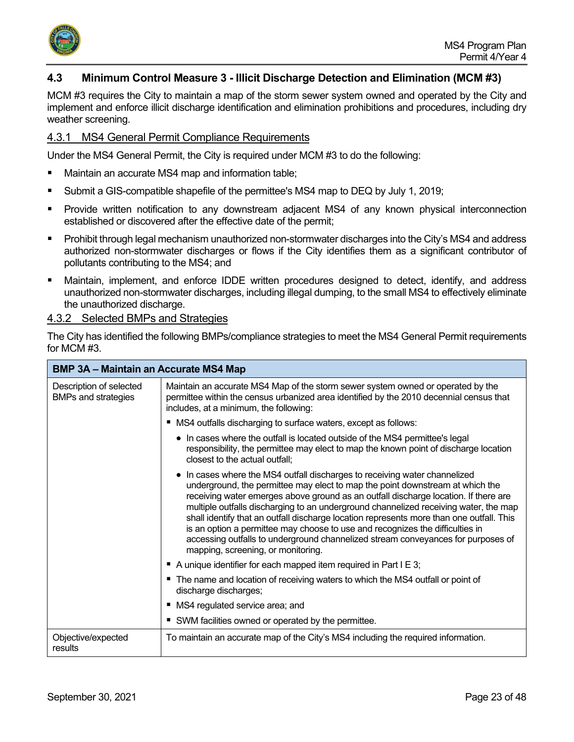

## <span id="page-22-0"></span>**4.3 Minimum Control Measure 3 - Illicit Discharge Detection and Elimination (MCM #3)**

MCM #3 requires the City to maintain a map of the storm sewer system owned and operated by the City and implement and enforce illicit discharge identification and elimination prohibitions and procedures, including dry weather screening.

#### <span id="page-22-1"></span>4.3.1 MS4 General Permit Compliance Requirements

Under the MS4 General Permit, the City is required under MCM #3 to do the following:

- Maintain an accurate MS4 map and information table;
- Submit a GIS-compatible shapefile of the permittee's MS4 map to DEQ by July 1, 2019;
- Provide written notification to any downstream adjacent MS4 of any known physical interconnection established or discovered after the effective date of the permit;
- **Prohibit through legal mechanism unauthorized non-stormwater discharges into the City's MS4 and address** authorized non-stormwater discharges or flows if the City identifies them as a significant contributor of pollutants contributing to the MS4; and
- Maintain, implement, and enforce IDDE written procedures designed to detect, identify, and address unauthorized non-stormwater discharges, including illegal dumping, to the small MS4 to effectively eliminate the unauthorized discharge.

#### <span id="page-22-2"></span>4.3.2 Selected BMPs and Strategies

The City has identified the following BMPs/compliance strategies to meet the MS4 General Permit requirements for MCM #3.

|                                                       | <b>BMP 3A - Maintain an Accurate MS4 Map</b>                                                                                                                                                                                                                                                                                                                                                                                                                                                                                                                                                                                                      |  |
|-------------------------------------------------------|---------------------------------------------------------------------------------------------------------------------------------------------------------------------------------------------------------------------------------------------------------------------------------------------------------------------------------------------------------------------------------------------------------------------------------------------------------------------------------------------------------------------------------------------------------------------------------------------------------------------------------------------------|--|
| Description of selected<br><b>BMPs and strategies</b> | Maintain an accurate MS4 Map of the storm sewer system owned or operated by the<br>permittee within the census urbanized area identified by the 2010 decennial census that<br>includes, at a minimum, the following:                                                                                                                                                                                                                                                                                                                                                                                                                              |  |
|                                                       | MS4 outfalls discharging to surface waters, except as follows:                                                                                                                                                                                                                                                                                                                                                                                                                                                                                                                                                                                    |  |
|                                                       | • In cases where the outfall is located outside of the MS4 permittee's legal<br>responsibility, the permittee may elect to map the known point of discharge location<br>closest to the actual outfall;                                                                                                                                                                                                                                                                                                                                                                                                                                            |  |
|                                                       | • In cases where the MS4 outfall discharges to receiving water channelized<br>underground, the permittee may elect to map the point downstream at which the<br>receiving water emerges above ground as an outfall discharge location. If there are<br>multiple outfalls discharging to an underground channelized receiving water, the map<br>shall identify that an outfall discharge location represents more than one outfall. This<br>is an option a permittee may choose to use and recognizes the difficulties in<br>accessing outfalls to underground channelized stream conveyances for purposes of<br>mapping, screening, or monitoring. |  |
|                                                       | A unique identifier for each mapped item required in Part I E 3;                                                                                                                                                                                                                                                                                                                                                                                                                                                                                                                                                                                  |  |
|                                                       | The name and location of receiving waters to which the MS4 outfall or point of<br>discharge discharges;                                                                                                                                                                                                                                                                                                                                                                                                                                                                                                                                           |  |
|                                                       | MS4 regulated service area; and                                                                                                                                                                                                                                                                                                                                                                                                                                                                                                                                                                                                                   |  |
|                                                       | SWM facilities owned or operated by the permittee.                                                                                                                                                                                                                                                                                                                                                                                                                                                                                                                                                                                                |  |
| Objective/expected<br>results                         | To maintain an accurate map of the City's MS4 including the required information.                                                                                                                                                                                                                                                                                                                                                                                                                                                                                                                                                                 |  |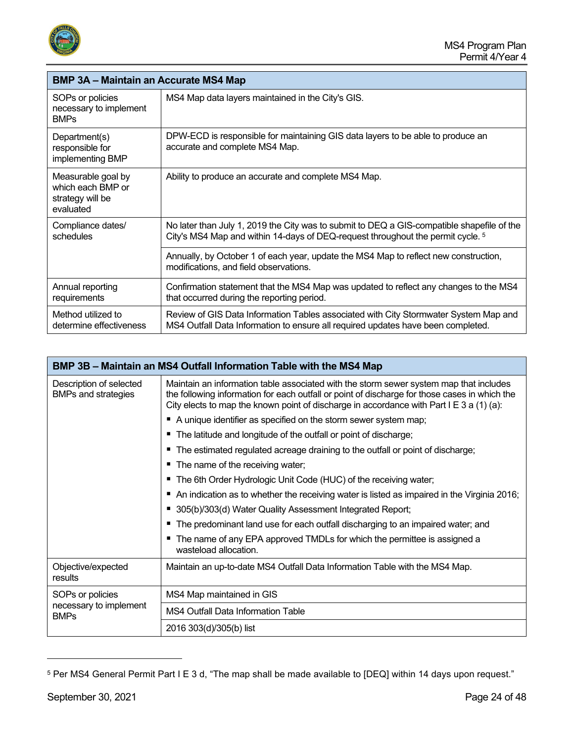

| <b>BMP 3A – Maintain an Accurate MS4 Map</b>                             |                                                                                                                                                                                          |
|--------------------------------------------------------------------------|------------------------------------------------------------------------------------------------------------------------------------------------------------------------------------------|
| SOPs or policies<br>necessary to implement<br><b>BMPs</b>                | MS4 Map data layers maintained in the City's GIS.                                                                                                                                        |
| Department(s)<br>responsible for<br>implementing BMP                     | DPW-ECD is responsible for maintaining GIS data layers to be able to produce an<br>accurate and complete MS4 Map.                                                                        |
| Measurable goal by<br>which each BMP or<br>strategy will be<br>evaluated | Ability to produce an accurate and complete MS4 Map.                                                                                                                                     |
| Compliance dates/<br>schedules                                           | No later than July 1, 2019 the City was to submit to DEQ a GIS-compatible shapefile of the<br>City's MS4 Map and within 14-days of DEQ-request throughout the permit cycle. <sup>5</sup> |
|                                                                          | Annually, by October 1 of each year, update the MS4 Map to reflect new construction,<br>modifications, and field observations.                                                           |
| Annual reporting<br>requirements                                         | Confirmation statement that the MS4 Map was updated to reflect any changes to the MS4<br>that occurred during the reporting period.                                                      |
| Method utilized to<br>determine effectiveness                            | Review of GIS Data Information Tables associated with City Stormwater System Map and<br>MS4 Outfall Data Information to ensure all required updates have been completed.                 |

|                                                           | BMP 3B – Maintain an MS4 Outfall Information Table with the MS4 Map                                                                                                                                                                                                                 |  |  |
|-----------------------------------------------------------|-------------------------------------------------------------------------------------------------------------------------------------------------------------------------------------------------------------------------------------------------------------------------------------|--|--|
| Description of selected<br><b>BMPs and strategies</b>     | Maintain an information table associated with the storm sewer system map that includes<br>the following information for each outfall or point of discharge for those cases in which the<br>City elects to map the known point of discharge in accordance with Part I E 3 a (1) (a): |  |  |
|                                                           | A unique identifier as specified on the storm sewer system map;                                                                                                                                                                                                                     |  |  |
|                                                           | The latitude and longitude of the outfall or point of discharge;                                                                                                                                                                                                                    |  |  |
|                                                           | The estimated regulated acreage draining to the outfall or point of discharge;                                                                                                                                                                                                      |  |  |
|                                                           | The name of the receiving water;                                                                                                                                                                                                                                                    |  |  |
|                                                           | The 6th Order Hydrologic Unit Code (HUC) of the receiving water;                                                                                                                                                                                                                    |  |  |
|                                                           | An indication as to whether the receiving water is listed as impaired in the Virginia 2016;                                                                                                                                                                                         |  |  |
|                                                           | 305(b)/303(d) Water Quality Assessment Integrated Report;                                                                                                                                                                                                                           |  |  |
|                                                           | The predominant land use for each outfall discharging to an impaired water; and                                                                                                                                                                                                     |  |  |
|                                                           | The name of any EPA approved TMDLs for which the permittee is assigned a<br>wasteload allocation.                                                                                                                                                                                   |  |  |
| Objective/expected<br>results                             | Maintain an up-to-date MS4 Outfall Data Information Table with the MS4 Map.                                                                                                                                                                                                         |  |  |
| SOPs or policies<br>necessary to implement<br><b>BMPs</b> | MS4 Map maintained in GIS                                                                                                                                                                                                                                                           |  |  |
|                                                           | <b>MS4 Outfall Data Information Table</b>                                                                                                                                                                                                                                           |  |  |
|                                                           | 2016 303(d)/305(b) list                                                                                                                                                                                                                                                             |  |  |

<span id="page-23-0"></span><sup>5</sup> Per MS4 General Permit Part I E 3 d, "The map shall be made available to [DEQ] within 14 days upon request."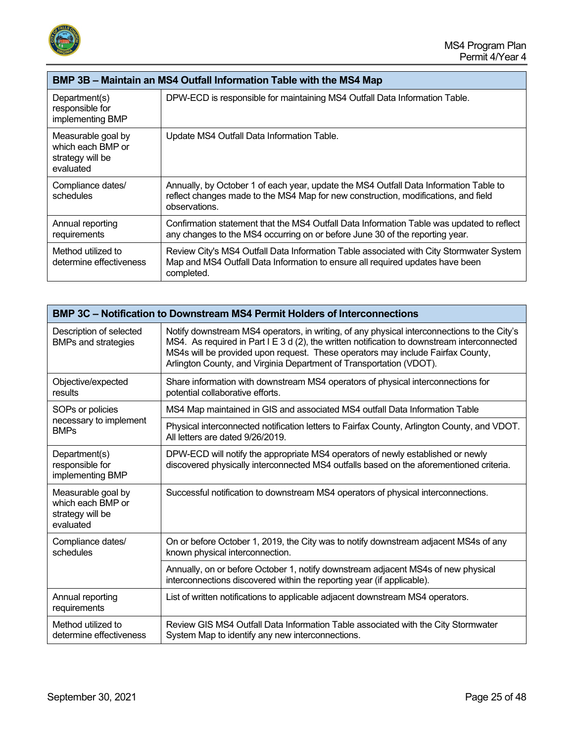

| BMP 3B – Maintain an MS4 Outfall Information Table with the MS4 Map      |                                                                                                                                                                                              |
|--------------------------------------------------------------------------|----------------------------------------------------------------------------------------------------------------------------------------------------------------------------------------------|
| Department(s)<br>responsible for<br>implementing BMP                     | DPW-ECD is responsible for maintaining MS4 Outfall Data Information Table.                                                                                                                   |
| Measurable goal by<br>which each BMP or<br>strategy will be<br>evaluated | Update MS4 Outfall Data Information Table.                                                                                                                                                   |
| Compliance dates/<br>schedules                                           | Annually, by October 1 of each year, update the MS4 Outfall Data Information Table to<br>reflect changes made to the MS4 Map for new construction, modifications, and field<br>observations. |
| Annual reporting<br>requirements                                         | Confirmation statement that the MS4 Outfall Data Information Table was updated to reflect<br>any changes to the MS4 occurring on or before June 30 of the reporting year.                    |
| Method utilized to<br>determine effectiveness                            | Review City's MS4 Outfall Data Information Table associated with City Stormwater System<br>Map and MS4 Outfall Data Information to ensure all required updates have been<br>completed.       |

| <b>BMP 3C - Notification to Downstream MS4 Permit Holders of Interconnections</b> |                                                                                                                                                                                                                                                                                                                                                      |
|-----------------------------------------------------------------------------------|------------------------------------------------------------------------------------------------------------------------------------------------------------------------------------------------------------------------------------------------------------------------------------------------------------------------------------------------------|
| Description of selected<br><b>BMPs and strategies</b>                             | Notify downstream MS4 operators, in writing, of any physical interconnections to the City's<br>MS4. As required in Part I E 3 d (2), the written notification to downstream interconnected<br>MS4s will be provided upon request. These operators may include Fairfax County,<br>Arlington County, and Virginia Department of Transportation (VDOT). |
| Objective/expected<br>results                                                     | Share information with downstream MS4 operators of physical interconnections for<br>potential collaborative efforts.                                                                                                                                                                                                                                 |
| SOPs or policies                                                                  | MS4 Map maintained in GIS and associated MS4 outfall Data Information Table                                                                                                                                                                                                                                                                          |
| necessary to implement<br><b>BMPs</b>                                             | Physical interconnected notification letters to Fairfax County, Arlington County, and VDOT.<br>All letters are dated 9/26/2019.                                                                                                                                                                                                                      |
| Department(s)<br>responsible for<br>implementing BMP                              | DPW-ECD will notify the appropriate MS4 operators of newly established or newly<br>discovered physically interconnected MS4 outfalls based on the aforementioned criteria.                                                                                                                                                                           |
| Measurable goal by<br>which each BMP or<br>strategy will be<br>evaluated          | Successful notification to downstream MS4 operators of physical interconnections.                                                                                                                                                                                                                                                                    |
| Compliance dates/<br>schedules                                                    | On or before October 1, 2019, the City was to notify downstream adjacent MS4s of any<br>known physical interconnection.                                                                                                                                                                                                                              |
|                                                                                   | Annually, on or before October 1, notify downstream adjacent MS4s of new physical<br>interconnections discovered within the reporting year (if applicable).                                                                                                                                                                                          |
| Annual reporting<br>requirements                                                  | List of written notifications to applicable adjacent downstream MS4 operators.                                                                                                                                                                                                                                                                       |
| Method utilized to<br>determine effectiveness                                     | Review GIS MS4 Outfall Data Information Table associated with the City Stormwater<br>System Map to identify any new interconnections.                                                                                                                                                                                                                |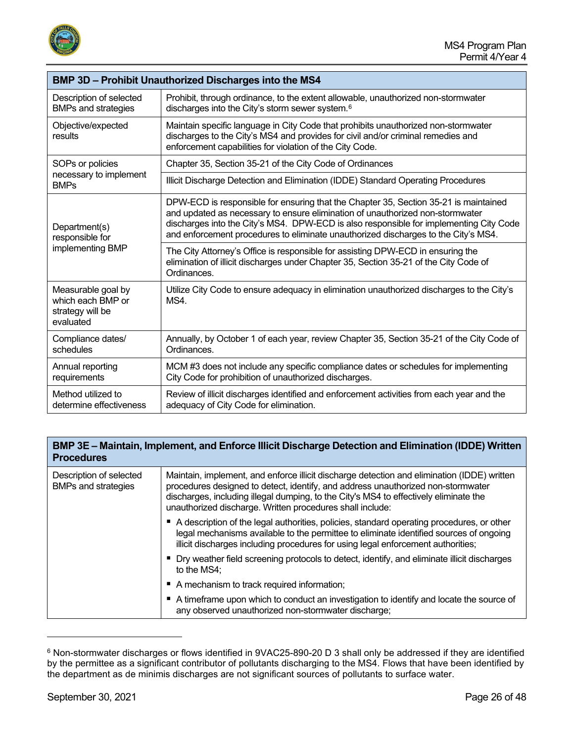

| <b>BMP 3D - Prohibit Unauthorized Discharges into the MS4</b>            |                                                                                                                                                                                                                                                                                                                                                       |  |
|--------------------------------------------------------------------------|-------------------------------------------------------------------------------------------------------------------------------------------------------------------------------------------------------------------------------------------------------------------------------------------------------------------------------------------------------|--|
| Description of selected<br><b>BMPs and strategies</b>                    | Prohibit, through ordinance, to the extent allowable, unauthorized non-stormwater<br>discharges into the City's storm sewer system. <sup>6</sup>                                                                                                                                                                                                      |  |
| Objective/expected<br>results                                            | Maintain specific language in City Code that prohibits unauthorized non-stormwater<br>discharges to the City's MS4 and provides for civil and/or criminal remedies and<br>enforcement capabilities for violation of the City Code.                                                                                                                    |  |
| SOPs or policies                                                         | Chapter 35, Section 35-21 of the City Code of Ordinances                                                                                                                                                                                                                                                                                              |  |
| necessary to implement<br><b>BMPs</b>                                    | Illicit Discharge Detection and Elimination (IDDE) Standard Operating Procedures                                                                                                                                                                                                                                                                      |  |
| Department(s)<br>responsible for<br>implementing BMP                     | DPW-ECD is responsible for ensuring that the Chapter 35, Section 35-21 is maintained<br>and updated as necessary to ensure elimination of unauthorized non-stormwater<br>discharges into the City's MS4. DPW-ECD is also responsible for implementing City Code<br>and enforcement procedures to eliminate unauthorized discharges to the City's MS4. |  |
|                                                                          | The City Attorney's Office is responsible for assisting DPW-ECD in ensuring the<br>elimination of illicit discharges under Chapter 35, Section 35-21 of the City Code of<br>Ordinances.                                                                                                                                                               |  |
| Measurable goal by<br>which each BMP or<br>strategy will be<br>evaluated | Utilize City Code to ensure adequacy in elimination unauthorized discharges to the City's<br>MS4.                                                                                                                                                                                                                                                     |  |
| Compliance dates/<br>schedules                                           | Annually, by October 1 of each year, review Chapter 35, Section 35-21 of the City Code of<br>Ordinances.                                                                                                                                                                                                                                              |  |
| Annual reporting<br>requirements                                         | MCM #3 does not include any specific compliance dates or schedules for implementing<br>City Code for prohibition of unauthorized discharges.                                                                                                                                                                                                          |  |
| Method utilized to<br>determine effectiveness                            | Review of illicit discharges identified and enforcement activities from each year and the<br>adequacy of City Code for elimination.                                                                                                                                                                                                                   |  |

## **BMP 3E – Maintain, Implement, and Enforce Illicit Discharge Detection and Elimination (IDDE) Written Procedures**

| Description of selected<br><b>BMPs and strategies</b> | Maintain, implement, and enforce illicit discharge detection and elimination (IDDE) written<br>procedures designed to detect, identify, and address unauthorized non-stormwater<br>discharges, including illegal dumping, to the City's MS4 to effectively eliminate the<br>unauthorized discharge. Written procedures shall include: |
|-------------------------------------------------------|---------------------------------------------------------------------------------------------------------------------------------------------------------------------------------------------------------------------------------------------------------------------------------------------------------------------------------------|
|                                                       | ■ A description of the legal authorities, policies, standard operating procedures, or other<br>legal mechanisms available to the permittee to eliminate identified sources of ongoing<br>illicit discharges including procedures for using legal enforcement authorities;                                                             |
|                                                       | • Dry weather field screening protocols to detect, identify, and eliminate illicit discharges<br>to the MS4;                                                                                                                                                                                                                          |
|                                                       | A mechanism to track required information;                                                                                                                                                                                                                                                                                            |
|                                                       | A timeframe upon which to conduct an investigation to identify and locate the source of<br>any observed unauthorized non-stormwater discharge;                                                                                                                                                                                        |

<span id="page-25-0"></span><sup>6</sup> Non-stormwater discharges or flows identified in 9VAC25-890-20 D 3 shall only be addressed if they are identified by the permittee as a significant contributor of pollutants discharging to the MS4. Flows that have been identified by the department as de minimis discharges are not significant sources of pollutants to surface water.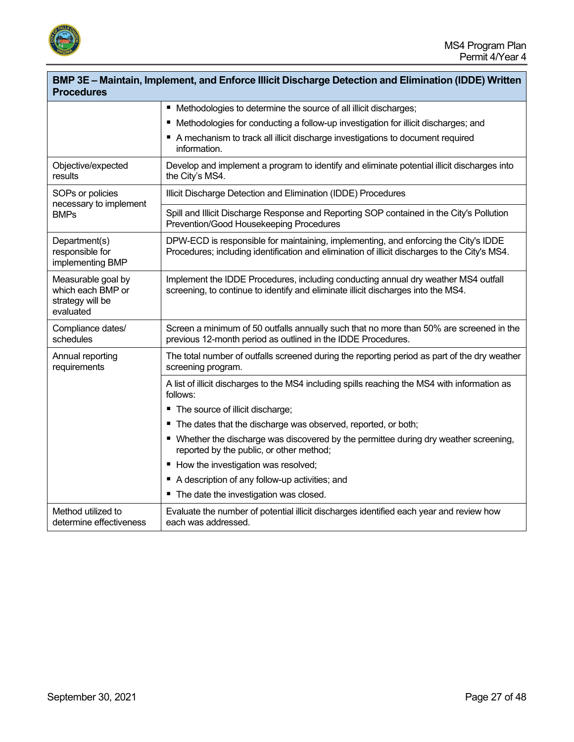

| BMP 3E - Maintain, Implement, and Enforce Illicit Discharge Detection and Elimination (IDDE) Written<br><b>Procedures</b> |                                                                                                                                                                                      |  |
|---------------------------------------------------------------------------------------------------------------------------|--------------------------------------------------------------------------------------------------------------------------------------------------------------------------------------|--|
|                                                                                                                           | ■ Methodologies to determine the source of all illicit discharges;                                                                                                                   |  |
|                                                                                                                           | ■ Methodologies for conducting a follow-up investigation for illicit discharges; and                                                                                                 |  |
|                                                                                                                           | A mechanism to track all illicit discharge investigations to document required<br>information.                                                                                       |  |
| Objective/expected<br>results                                                                                             | Develop and implement a program to identify and eliminate potential illicit discharges into<br>the City's MS4.                                                                       |  |
| SOPs or policies<br>necessary to implement                                                                                | Illicit Discharge Detection and Elimination (IDDE) Procedures                                                                                                                        |  |
| BMPs                                                                                                                      | Spill and Illicit Discharge Response and Reporting SOP contained in the City's Pollution<br>Prevention/Good Housekeeping Procedures                                                  |  |
| Department(s)<br>responsible for<br>implementing BMP                                                                      | DPW-ECD is responsible for maintaining, implementing, and enforcing the City's IDDE<br>Procedures; including identification and elimination of illicit discharges to the City's MS4. |  |
| Measurable goal by<br>which each BMP or<br>strategy will be<br>evaluated                                                  | Implement the IDDE Procedures, including conducting annual dry weather MS4 outfall<br>screening, to continue to identify and eliminate illicit discharges into the MS4.              |  |
| Compliance dates/<br>schedules                                                                                            | Screen a minimum of 50 outfalls annually such that no more than 50% are screened in the<br>previous 12-month period as outlined in the IDDE Procedures.                              |  |
| Annual reporting<br>requirements                                                                                          | The total number of outfalls screened during the reporting period as part of the dry weather<br>screening program.                                                                   |  |
|                                                                                                                           | A list of illicit discharges to the MS4 including spills reaching the MS4 with information as<br>follows:                                                                            |  |
|                                                                                                                           | " The source of illicit discharge;                                                                                                                                                   |  |
|                                                                                                                           | " The dates that the discharge was observed, reported, or both;                                                                                                                      |  |
|                                                                                                                           | ■ Whether the discharge was discovered by the permittee during dry weather screening,<br>reported by the public, or other method;                                                    |  |
|                                                                                                                           | How the investigation was resolved;                                                                                                                                                  |  |
|                                                                                                                           | A description of any follow-up activities; and                                                                                                                                       |  |
|                                                                                                                           | " The date the investigation was closed.                                                                                                                                             |  |
| Method utilized to<br>determine effectiveness                                                                             | Evaluate the number of potential illicit discharges identified each year and review how<br>each was addressed.                                                                       |  |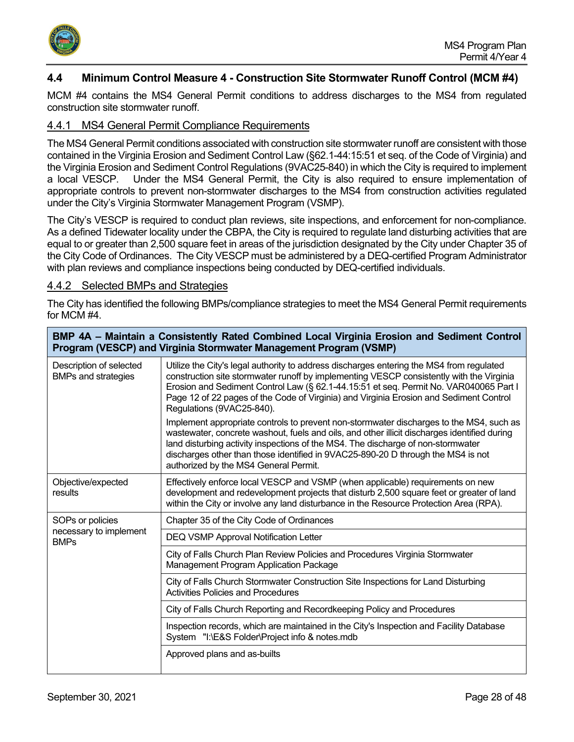

## <span id="page-27-0"></span>**4.4 Minimum Control Measure 4 - Construction Site Stormwater Runoff Control (MCM #4)**

MCM #4 contains the MS4 General Permit conditions to address discharges to the MS4 from regulated construction site stormwater runoff.

## <span id="page-27-1"></span>4.4.1 MS4 General Permit Compliance Requirements

The MS4 General Permit conditions associated with construction site stormwater runoff are consistent with those contained in the Virginia Erosion and Sediment Control Law (§62.1-44:15:51 et seq. of the Code of Virginia) and the Virginia Erosion and Sediment Control Regulations (9VAC25-840) in which the City is required to implement a local VESCP. Under the MS4 General Permit, the City is also required to ensure implementation of appropriate controls to prevent non-stormwater discharges to the MS4 from construction activities regulated under the City's Virginia Stormwater Management Program (VSMP).

The City's VESCP is required to conduct plan reviews, site inspections, and enforcement for non-compliance. As a defined Tidewater locality under the CBPA, the City is required to regulate land disturbing activities that are equal to or greater than 2,500 square feet in areas of the jurisdiction designated by the City under Chapter 35 of the City Code of Ordinances. The City VESCP must be administered by a DEQ-certified Program Administrator with plan reviews and compliance inspections being conducted by DEQ-certified individuals.

#### <span id="page-27-2"></span>4.4.2 Selected BMPs and Strategies

The City has identified the following BMPs/compliance strategies to meet the MS4 General Permit requirements for MCM #4.

| BMP 4A – Maintain a Consistently Rated Combined Local Virginia Erosion and Sediment Control<br>Program (VESCP) and Virginia Stormwater Management Program (VSMP) |                                                                                                                                                                                                                                                                                                                                                                                                          |  |
|------------------------------------------------------------------------------------------------------------------------------------------------------------------|----------------------------------------------------------------------------------------------------------------------------------------------------------------------------------------------------------------------------------------------------------------------------------------------------------------------------------------------------------------------------------------------------------|--|
| Description of selected<br><b>BMPs and strategies</b>                                                                                                            | Utilize the City's legal authority to address discharges entering the MS4 from regulated<br>construction site stormwater runoff by implementing VESCP consistently with the Virginia<br>Erosion and Sediment Control Law (§ 62.1-44.15:51 et seq. Permit No. VAR040065 Part I<br>Page 12 of 22 pages of the Code of Virginia) and Virginia Erosion and Sediment Control<br>Regulations (9VAC25-840).     |  |
|                                                                                                                                                                  | Implement appropriate controls to prevent non-stormwater discharges to the MS4, such as<br>wastewater, concrete washout, fuels and oils, and other illicit discharges identified during<br>land disturbing activity inspections of the MS4. The discharge of non-stormwater<br>discharges other than those identified in 9VAC25-890-20 D through the MS4 is not<br>authorized by the MS4 General Permit. |  |
| Objective/expected<br>results                                                                                                                                    | Effectively enforce local VESCP and VSMP (when applicable) requirements on new<br>development and redevelopment projects that disturb 2,500 square feet or greater of land<br>within the City or involve any land disturbance in the Resource Protection Area (RPA).                                                                                                                                     |  |
| SOPs or policies                                                                                                                                                 | Chapter 35 of the City Code of Ordinances                                                                                                                                                                                                                                                                                                                                                                |  |
| necessary to implement<br><b>BMPs</b>                                                                                                                            | <b>DEQ VSMP Approval Notification Letter</b>                                                                                                                                                                                                                                                                                                                                                             |  |
|                                                                                                                                                                  | City of Falls Church Plan Review Policies and Procedures Virginia Stormwater<br>Management Program Application Package                                                                                                                                                                                                                                                                                   |  |
|                                                                                                                                                                  | City of Falls Church Stormwater Construction Site Inspections for Land Disturbing<br><b>Activities Policies and Procedures</b>                                                                                                                                                                                                                                                                           |  |
|                                                                                                                                                                  | City of Falls Church Reporting and Recordkeeping Policy and Procedures                                                                                                                                                                                                                                                                                                                                   |  |
|                                                                                                                                                                  | Inspection records, which are maintained in the City's Inspection and Facility Database<br>System "I:\E&S Folder\Project info & notes.mdb                                                                                                                                                                                                                                                                |  |
|                                                                                                                                                                  | Approved plans and as-builts                                                                                                                                                                                                                                                                                                                                                                             |  |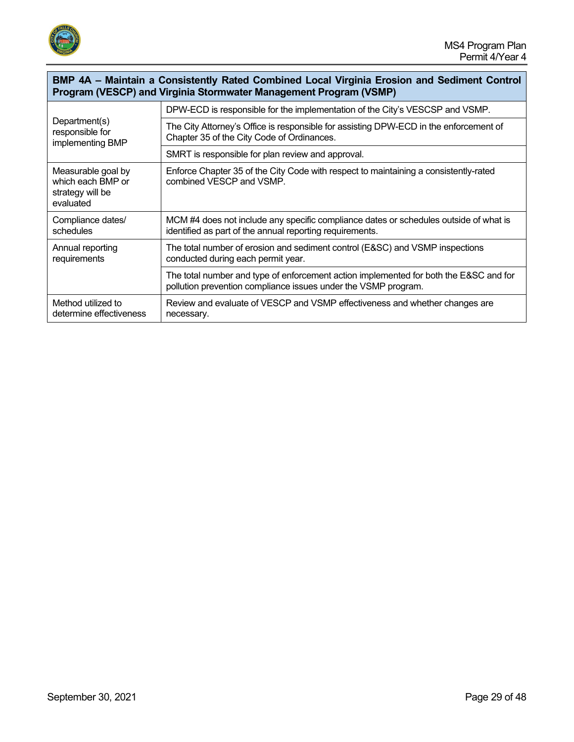

## **BMP 4A – Maintain a Consistently Rated Combined Local Virginia Erosion and Sediment Control Program (VESCP) and Virginia Stormwater Management Program (VSMP)**

| Department(s)<br>responsible for<br>implementing BMP                     | DPW-ECD is responsible for the implementation of the City's VESCSP and VSMP.                                                                            |
|--------------------------------------------------------------------------|---------------------------------------------------------------------------------------------------------------------------------------------------------|
|                                                                          | The City Attorney's Office is responsible for assisting DPW-ECD in the enforcement of<br>Chapter 35 of the City Code of Ordinances.                     |
|                                                                          | SMRT is responsible for plan review and approval.                                                                                                       |
| Measurable goal by<br>which each BMP or<br>strategy will be<br>evaluated | Enforce Chapter 35 of the City Code with respect to maintaining a consistently-rated<br>combined VESCP and VSMP.                                        |
| Compliance dates/<br>schedules                                           | MCM #4 does not include any specific compliance dates or schedules outside of what is<br>identified as part of the annual reporting requirements.       |
| Annual reporting<br>requirements                                         | The total number of erosion and sediment control (E&SC) and VSMP inspections<br>conducted during each permit year.                                      |
|                                                                          | The total number and type of enforcement action implemented for both the E&SC and for<br>pollution prevention compliance issues under the VSMP program. |
| Method utilized to<br>determine effectiveness                            | Review and evaluate of VESCP and VSMP effectiveness and whether changes are<br>necessary.                                                               |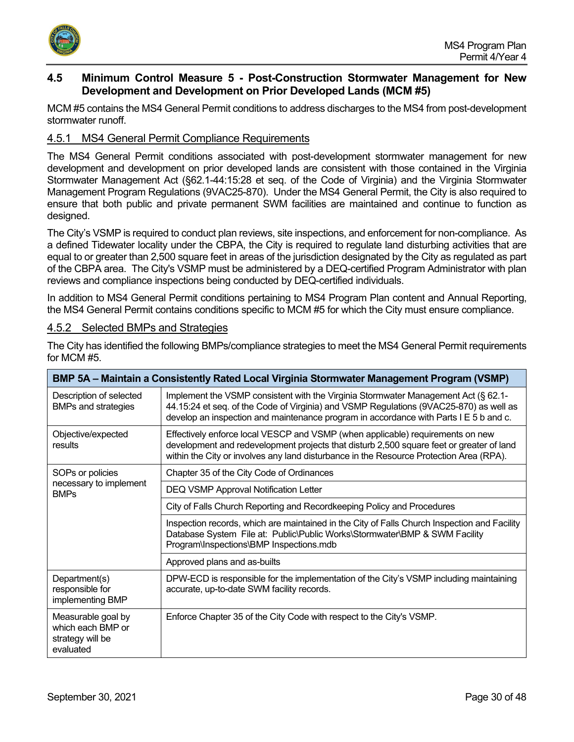

## <span id="page-29-0"></span>**4.5 Minimum Control Measure 5 - Post-Construction Stormwater Management for New Development and Development on Prior Developed Lands (MCM #5)**

MCM #5 contains the MS4 General Permit conditions to address discharges to the MS4 from post-development stormwater runoff.

## <span id="page-29-1"></span>4.5.1 MS4 General Permit Compliance Requirements

The MS4 General Permit conditions associated with post-development stormwater management for new development and development on prior developed lands are consistent with those contained in the Virginia Stormwater Management Act (§62.1-44:15:28 et seq. of the Code of Virginia) and the Virginia Stormwater Management Program Regulations (9VAC25-870). Under the MS4 General Permit, the City is also required to ensure that both public and private permanent SWM facilities are maintained and continue to function as designed.

The City's VSMP is required to conduct plan reviews, site inspections, and enforcement for non-compliance. As a defined Tidewater locality under the CBPA, the City is required to regulate land disturbing activities that are equal to or greater than 2,500 square feet in areas of the jurisdiction designated by the City as regulated as part of the CBPA area. The City's VSMP must be administered by a DEQ-certified Program Administrator with plan reviews and compliance inspections being conducted by DEQ-certified individuals.

In addition to MS4 General Permit conditions pertaining to MS4 Program Plan content and Annual Reporting, the MS4 General Permit contains conditions specific to MCM #5 for which the City must ensure compliance.

## <span id="page-29-2"></span>4.5.2 Selected BMPs and Strategies

| BMP 5A - Maintain a Consistently Rated Local Virginia Stormwater Management Program (VSMP) |                                                                                                                                                                                                                                                                       |  |
|--------------------------------------------------------------------------------------------|-----------------------------------------------------------------------------------------------------------------------------------------------------------------------------------------------------------------------------------------------------------------------|--|
| Description of selected<br><b>BMPs and strategies</b>                                      | Implement the VSMP consistent with the Virginia Stormwater Management Act (§ 62.1-<br>44.15:24 et seq. of the Code of Virginia) and VSMP Regulations (9VAC25-870) as well as<br>develop an inspection and maintenance program in accordance with Parts I E 5 b and c. |  |
| Objective/expected<br>results                                                              | Effectively enforce local VESCP and VSMP (when applicable) requirements on new<br>development and redevelopment projects that disturb 2,500 square feet or greater of land<br>within the City or involves any land disturbance in the Resource Protection Area (RPA). |  |
| SOPs or policies                                                                           | Chapter 35 of the City Code of Ordinances                                                                                                                                                                                                                             |  |
| necessary to implement<br><b>BMPs</b>                                                      | DEQ VSMP Approval Notification Letter                                                                                                                                                                                                                                 |  |
|                                                                                            | City of Falls Church Reporting and Recordkeeping Policy and Procedures                                                                                                                                                                                                |  |
|                                                                                            | Inspection records, which are maintained in the City of Falls Church Inspection and Facility<br>Database System File at: Public\Public Works\Stormwater\BMP & SWM Facility<br>Program\Inspections\BMP Inspections.mdb                                                 |  |
|                                                                                            | Approved plans and as-builts                                                                                                                                                                                                                                          |  |
| Department(s)<br>responsible for<br>implementing BMP                                       | DPW-ECD is responsible for the implementation of the City's VSMP including maintaining<br>accurate, up-to-date SWM facility records.                                                                                                                                  |  |
| Measurable goal by<br>which each BMP or<br>strategy will be<br>evaluated                   | Enforce Chapter 35 of the City Code with respect to the City's VSMP.                                                                                                                                                                                                  |  |

The City has identified the following BMPs/compliance strategies to meet the MS4 General Permit requirements for MCM #5.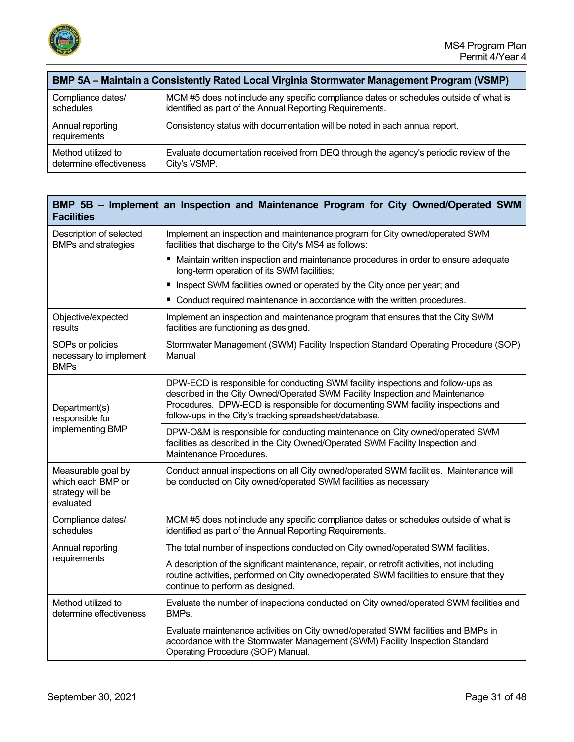

| BMP 5A - Maintain a Consistently Rated Local Virginia Stormwater Management Program (VSMP) |                                                                                       |  |
|--------------------------------------------------------------------------------------------|---------------------------------------------------------------------------------------|--|
| Compliance dates/                                                                          | MCM #5 does not include any specific compliance dates or schedules outside of what is |  |
| schedules                                                                                  | identified as part of the Annual Reporting Requirements.                              |  |
| Annual reporting<br>requirements                                                           | Consistency status with documentation will be noted in each annual report.            |  |
| Method utilized to                                                                         | Evaluate documentation received from DEQ through the agency's periodic review of the  |  |
| determine effectiveness                                                                    | City's VSMP.                                                                          |  |

| <b>Facilities</b>                                                        | BMP 5B - Implement an Inspection and Maintenance Program for City Owned/Operated SWM                                                                                                                                                                                                                           |
|--------------------------------------------------------------------------|----------------------------------------------------------------------------------------------------------------------------------------------------------------------------------------------------------------------------------------------------------------------------------------------------------------|
| Description of selected<br><b>BMPs and strategies</b>                    | Implement an inspection and maintenance program for City owned/operated SWM<br>facilities that discharge to the City's MS4 as follows:                                                                                                                                                                         |
|                                                                          | ■ Maintain written inspection and maintenance procedures in order to ensure adequate<br>long-term operation of its SWM facilities;                                                                                                                                                                             |
|                                                                          | Inspect SWM facilities owned or operated by the City once per year; and<br>Е                                                                                                                                                                                                                                   |
|                                                                          | Conduct required maintenance in accordance with the written procedures.                                                                                                                                                                                                                                        |
| Objective/expected<br>results                                            | Implement an inspection and maintenance program that ensures that the City SWM<br>facilities are functioning as designed.                                                                                                                                                                                      |
| SOPs or policies<br>necessary to implement<br><b>BMPs</b>                | Stormwater Management (SWM) Facility Inspection Standard Operating Procedure (SOP)<br>Manual                                                                                                                                                                                                                   |
| Department(s)<br>responsible for<br>implementing BMP                     | DPW-ECD is responsible for conducting SWM facility inspections and follow-ups as<br>described in the City Owned/Operated SWM Facility Inspection and Maintenance<br>Procedures. DPW-ECD is responsible for documenting SWM facility inspections and<br>follow-ups in the City's tracking spreadsheet/database. |
|                                                                          | DPW-O&M is responsible for conducting maintenance on City owned/operated SWM<br>facilities as described in the City Owned/Operated SWM Facility Inspection and<br>Maintenance Procedures.                                                                                                                      |
| Measurable goal by<br>which each BMP or<br>strategy will be<br>evaluated | Conduct annual inspections on all City owned/operated SWM facilities. Maintenance will<br>be conducted on City owned/operated SWM facilities as necessary.                                                                                                                                                     |
| Compliance dates/<br>schedules                                           | MCM #5 does not include any specific compliance dates or schedules outside of what is<br>identified as part of the Annual Reporting Requirements.                                                                                                                                                              |
| Annual reporting                                                         | The total number of inspections conducted on City owned/operated SWM facilities.                                                                                                                                                                                                                               |
| requirements                                                             | A description of the significant maintenance, repair, or retrofit activities, not including<br>routine activities, performed on City owned/operated SWM facilities to ensure that they<br>continue to perform as designed.                                                                                     |
| Method utilized to<br>determine effectiveness                            | Evaluate the number of inspections conducted on City owned/operated SWM facilities and<br>BMPs.                                                                                                                                                                                                                |
|                                                                          | Evaluate maintenance activities on City owned/operated SWM facilities and BMPs in<br>accordance with the Stormwater Management (SWM) Facility Inspection Standard<br>Operating Procedure (SOP) Manual.                                                                                                         |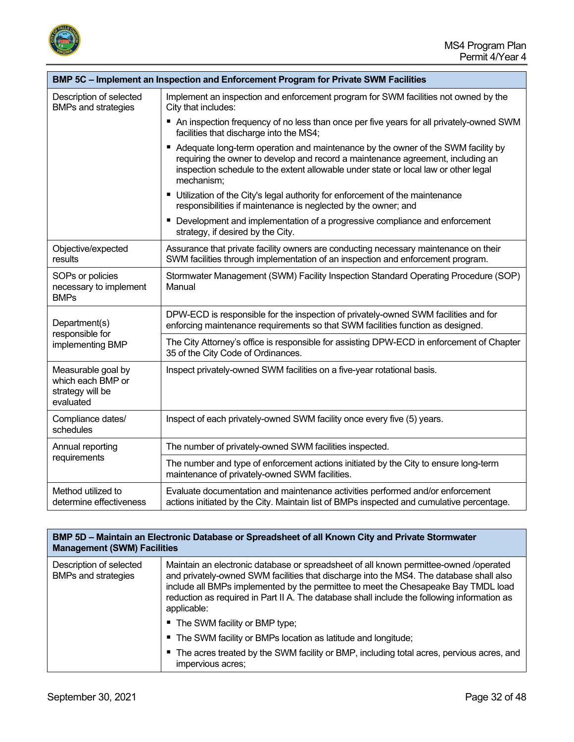

| BMP 5C - Implement an Inspection and Enforcement Program for Private SWM Facilities |                                                                                                                                                                                                                                                                          |  |
|-------------------------------------------------------------------------------------|--------------------------------------------------------------------------------------------------------------------------------------------------------------------------------------------------------------------------------------------------------------------------|--|
| Description of selected<br><b>BMPs and strategies</b>                               | Implement an inspection and enforcement program for SWM facilities not owned by the<br>City that includes:                                                                                                                                                               |  |
|                                                                                     | ■ An inspection frequency of no less than once per five years for all privately-owned SWM<br>facilities that discharge into the MS4;                                                                                                                                     |  |
|                                                                                     | Adequate long-term operation and maintenance by the owner of the SWM facility by<br>requiring the owner to develop and record a maintenance agreement, including an<br>inspection schedule to the extent allowable under state or local law or other legal<br>mechanism; |  |
|                                                                                     | Utilization of the City's legal authority for enforcement of the maintenance<br>responsibilities if maintenance is neglected by the owner; and                                                                                                                           |  |
|                                                                                     | Development and implementation of a progressive compliance and enforcement<br>strategy, if desired by the City.                                                                                                                                                          |  |
| Objective/expected<br>results                                                       | Assurance that private facility owners are conducting necessary maintenance on their<br>SWM facilities through implementation of an inspection and enforcement program.                                                                                                  |  |
| SOPs or policies<br>necessary to implement<br><b>BMPs</b>                           | Stormwater Management (SWM) Facility Inspection Standard Operating Procedure (SOP)<br>Manual                                                                                                                                                                             |  |
| Department(s)                                                                       | DPW-ECD is responsible for the inspection of privately-owned SWM facilities and for<br>enforcing maintenance requirements so that SWM facilities function as designed.                                                                                                   |  |
| responsible for<br>implementing BMP                                                 | The City Attorney's office is responsible for assisting DPW-ECD in enforcement of Chapter<br>35 of the City Code of Ordinances.                                                                                                                                          |  |
| Measurable goal by<br>which each BMP or<br>strategy will be<br>evaluated            | Inspect privately-owned SWM facilities on a five-year rotational basis.                                                                                                                                                                                                  |  |
| Compliance dates/<br>schedules                                                      | Inspect of each privately-owned SWM facility once every five (5) years.                                                                                                                                                                                                  |  |
| Annual reporting                                                                    | The number of privately-owned SWM facilities inspected.                                                                                                                                                                                                                  |  |
| requirements                                                                        | The number and type of enforcement actions initiated by the City to ensure long-term<br>maintenance of privately-owned SWM facilities.                                                                                                                                   |  |
| Method utilized to<br>determine effectiveness                                       | Evaluate documentation and maintenance activities performed and/or enforcement<br>actions initiated by the City. Maintain list of BMPs inspected and cumulative percentage.                                                                                              |  |

#### **BMP 5D – Maintain an Electronic Database or Spreadsheet of all Known City and Private Stormwater Management (SWM) Facilities**

| Description of selected<br><b>BMPs and strategies</b> | Maintain an electronic database or spreadsheet of all known permittee-owned /operated<br>and privately-owned SWM facilities that discharge into the MS4. The database shall also<br>include all BMPs implemented by the permittee to meet the Chesapeake Bay TMDL load<br>reduction as required in Part II A. The database shall include the following information as<br>applicable: |
|-------------------------------------------------------|--------------------------------------------------------------------------------------------------------------------------------------------------------------------------------------------------------------------------------------------------------------------------------------------------------------------------------------------------------------------------------------|
|                                                       | ■ The SWM facility or BMP type;                                                                                                                                                                                                                                                                                                                                                      |
|                                                       | ■ The SWM facility or BMPs location as latitude and longitude;                                                                                                                                                                                                                                                                                                                       |
|                                                       | The acres treated by the SWM facility or BMP, including total acres, pervious acres, and<br>impervious acres;                                                                                                                                                                                                                                                                        |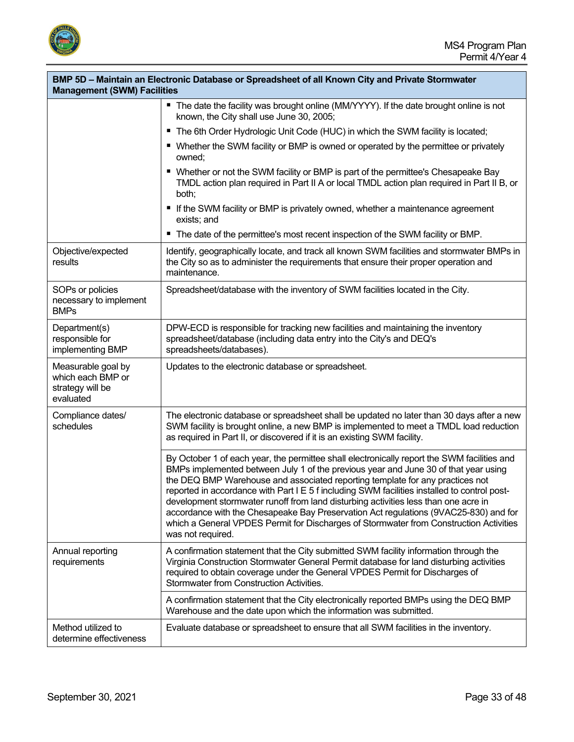

Ť

| BMP 5D – Maintain an Electronic Database or Spreadsheet of all Known City and Private Stormwater<br><b>Management (SWM) Facilities</b> |                                                                                                                                                                                                                                                                                                                                                                                                                                                                                                                                                                                                                                                                   |
|----------------------------------------------------------------------------------------------------------------------------------------|-------------------------------------------------------------------------------------------------------------------------------------------------------------------------------------------------------------------------------------------------------------------------------------------------------------------------------------------------------------------------------------------------------------------------------------------------------------------------------------------------------------------------------------------------------------------------------------------------------------------------------------------------------------------|
|                                                                                                                                        | ■ The date the facility was brought online (MM/YYYY). If the date brought online is not<br>known, the City shall use June 30, 2005;                                                                                                                                                                                                                                                                                                                                                                                                                                                                                                                               |
|                                                                                                                                        | ■ The 6th Order Hydrologic Unit Code (HUC) in which the SWM facility is located;                                                                                                                                                                                                                                                                                                                                                                                                                                                                                                                                                                                  |
|                                                                                                                                        | ■ Whether the SWM facility or BMP is owned or operated by the permittee or privately<br>owned;                                                                                                                                                                                                                                                                                                                                                                                                                                                                                                                                                                    |
|                                                                                                                                        | ■ Whether or not the SWM facility or BMP is part of the permittee's Chesapeake Bay<br>TMDL action plan required in Part II A or local TMDL action plan required in Part II B, or<br>both;                                                                                                                                                                                                                                                                                                                                                                                                                                                                         |
|                                                                                                                                        | If the SWM facility or BMP is privately owned, whether a maintenance agreement<br>exists; and                                                                                                                                                                                                                                                                                                                                                                                                                                                                                                                                                                     |
|                                                                                                                                        | ■ The date of the permittee's most recent inspection of the SWM facility or BMP.                                                                                                                                                                                                                                                                                                                                                                                                                                                                                                                                                                                  |
| Objective/expected<br>results                                                                                                          | Identify, geographically locate, and track all known SWM facilities and stormwater BMPs in<br>the City so as to administer the requirements that ensure their proper operation and<br>maintenance.                                                                                                                                                                                                                                                                                                                                                                                                                                                                |
| SOPs or policies<br>necessary to implement<br><b>BMPs</b>                                                                              | Spreadsheet/database with the inventory of SWM facilities located in the City.                                                                                                                                                                                                                                                                                                                                                                                                                                                                                                                                                                                    |
| Department(s)<br>responsible for<br>implementing BMP                                                                                   | DPW-ECD is responsible for tracking new facilities and maintaining the inventory<br>spreadsheet/database (including data entry into the City's and DEQ's<br>spreadsheets/databases).                                                                                                                                                                                                                                                                                                                                                                                                                                                                              |
| Measurable goal by<br>which each BMP or<br>strategy will be<br>evaluated                                                               | Updates to the electronic database or spreadsheet.                                                                                                                                                                                                                                                                                                                                                                                                                                                                                                                                                                                                                |
| Compliance dates/<br>schedules                                                                                                         | The electronic database or spreadsheet shall be updated no later than 30 days after a new<br>SWM facility is brought online, a new BMP is implemented to meet a TMDL load reduction<br>as required in Part II, or discovered if it is an existing SWM facility.                                                                                                                                                                                                                                                                                                                                                                                                   |
|                                                                                                                                        | By October 1 of each year, the permittee shall electronically report the SWM facilities and<br>BMPs implemented between July 1 of the previous year and June 30 of that year using<br>the DEQ BMP Warehouse and associated reporting template for any practices not<br>reported in accordance with Part I E 5 f including SWM facilities installed to control post-<br>development stormwater runoff from land disturbing activities less than one acre in<br>accordance with the Chesapeake Bay Preservation Act regulations (9VAC25-830) and for<br>which a General VPDES Permit for Discharges of Stormwater from Construction Activities<br>was not required. |
| Annual reporting<br>requirements                                                                                                       | A confirmation statement that the City submitted SWM facility information through the<br>Virginia Construction Stormwater General Permit database for land disturbing activities<br>required to obtain coverage under the General VPDES Permit for Discharges of<br>Stormwater from Construction Activities.                                                                                                                                                                                                                                                                                                                                                      |
|                                                                                                                                        | A confirmation statement that the City electronically reported BMPs using the DEQ BMP<br>Warehouse and the date upon which the information was submitted.                                                                                                                                                                                                                                                                                                                                                                                                                                                                                                         |
| Method utilized to<br>determine effectiveness                                                                                          | Evaluate database or spreadsheet to ensure that all SWM facilities in the inventory.                                                                                                                                                                                                                                                                                                                                                                                                                                                                                                                                                                              |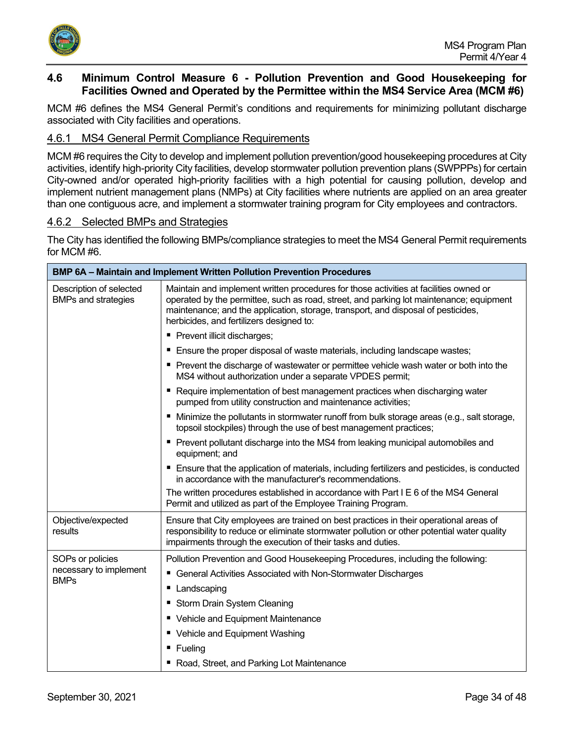

## <span id="page-33-0"></span>**4.6 Minimum Control Measure 6 - Pollution Prevention and Good Housekeeping for Facilities Owned and Operated by the Permittee within the MS4 Service Area (MCM #6)**

MCM #6 defines the MS4 General Permit's conditions and requirements for minimizing pollutant discharge associated with City facilities and operations.

## <span id="page-33-1"></span>4.6.1 MS4 General Permit Compliance Requirements

MCM #6 requires the City to develop and implement pollution prevention/good housekeeping procedures at City activities, identify high-priority City facilities, develop stormwater pollution prevention plans (SWPPPs) for certain City-owned and/or operated high-priority facilities with a high potential for causing pollution, develop and implement nutrient management plans (NMPs) at City facilities where nutrients are applied on an area greater than one contiguous acre, and implement a stormwater training program for City employees and contractors.

#### <span id="page-33-2"></span>4.6.2 Selected BMPs and Strategies

The City has identified the following BMPs/compliance strategies to meet the MS4 General Permit requirements for MCM #6.

| <b>BMP 6A – Maintain and Implement Written Pollution Prevention Procedures</b> |                                                                                                                                                                                                                                                                                                                   |  |
|--------------------------------------------------------------------------------|-------------------------------------------------------------------------------------------------------------------------------------------------------------------------------------------------------------------------------------------------------------------------------------------------------------------|--|
| Description of selected<br><b>BMPs and strategies</b>                          | Maintain and implement written procedures for those activities at facilities owned or<br>operated by the permittee, such as road, street, and parking lot maintenance; equipment<br>maintenance; and the application, storage, transport, and disposal of pesticides,<br>herbicides, and fertilizers designed to: |  |
|                                                                                | Prevent illicit discharges;                                                                                                                                                                                                                                                                                       |  |
|                                                                                | Ensure the proper disposal of waste materials, including landscape wastes;                                                                                                                                                                                                                                        |  |
|                                                                                | ■ Prevent the discharge of wastewater or permittee vehicle wash water or both into the<br>MS4 without authorization under a separate VPDES permit;                                                                                                                                                                |  |
|                                                                                | Require implementation of best management practices when discharging water<br>п<br>pumped from utility construction and maintenance activities;                                                                                                                                                                   |  |
|                                                                                | Minimize the pollutants in stormwater runoff from bulk storage areas (e.g., salt storage,<br>topsoil stockpiles) through the use of best management practices;                                                                                                                                                    |  |
|                                                                                | • Prevent pollutant discharge into the MS4 from leaking municipal automobiles and<br>equipment; and                                                                                                                                                                                                               |  |
|                                                                                | Ensure that the application of materials, including fertilizers and pesticides, is conducted<br>in accordance with the manufacturer's recommendations.                                                                                                                                                            |  |
|                                                                                | The written procedures established in accordance with Part I E 6 of the MS4 General<br>Permit and utilized as part of the Employee Training Program.                                                                                                                                                              |  |
| Objective/expected<br>results                                                  | Ensure that City employees are trained on best practices in their operational areas of<br>responsibility to reduce or eliminate stormwater pollution or other potential water quality<br>impairments through the execution of their tasks and duties.                                                             |  |
| SOPs or policies                                                               | Pollution Prevention and Good Housekeeping Procedures, including the following:                                                                                                                                                                                                                                   |  |
| necessary to implement<br><b>BMPs</b>                                          | ■ General Activities Associated with Non-Stormwater Discharges                                                                                                                                                                                                                                                    |  |
|                                                                                | Landscaping<br>ш                                                                                                                                                                                                                                                                                                  |  |
|                                                                                | Storm Drain System Cleaning                                                                                                                                                                                                                                                                                       |  |
|                                                                                | • Vehicle and Equipment Maintenance                                                                                                                                                                                                                                                                               |  |
|                                                                                | ■ Vehicle and Equipment Washing                                                                                                                                                                                                                                                                                   |  |
|                                                                                | $\blacksquare$ Fueling                                                                                                                                                                                                                                                                                            |  |
|                                                                                | " Road, Street, and Parking Lot Maintenance                                                                                                                                                                                                                                                                       |  |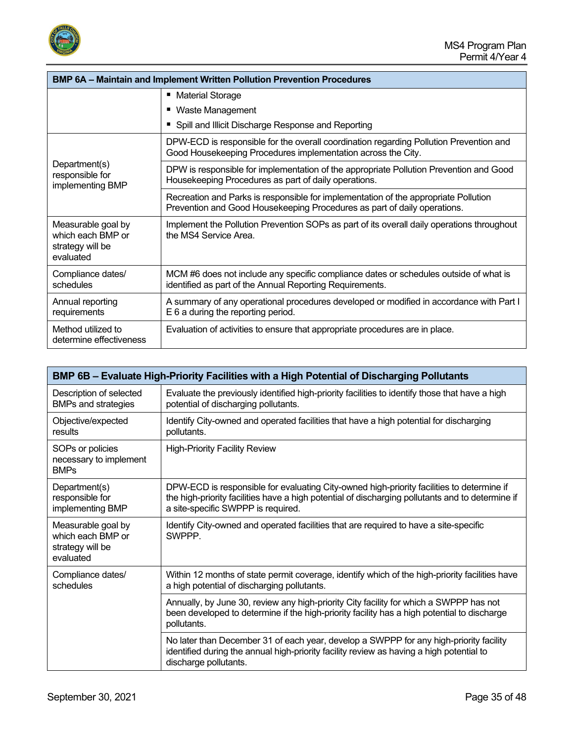

| <b>BMP 6A - Maintain and Implement Written Pollution Prevention Procedures</b> |                                                                                                                                                                 |
|--------------------------------------------------------------------------------|-----------------------------------------------------------------------------------------------------------------------------------------------------------------|
|                                                                                | ■ Material Storage                                                                                                                                              |
|                                                                                | ■ Waste Management                                                                                                                                              |
|                                                                                | • Spill and Illicit Discharge Response and Reporting                                                                                                            |
| Department(s)<br>responsible for<br>implementing BMP                           | DPW-ECD is responsible for the overall coordination regarding Pollution Prevention and<br>Good Housekeeping Procedures implementation across the City.          |
|                                                                                | DPW is responsible for implementation of the appropriate Pollution Prevention and Good<br>Housekeeping Procedures as part of daily operations.                  |
|                                                                                | Recreation and Parks is responsible for implementation of the appropriate Pollution<br>Prevention and Good Housekeeping Procedures as part of daily operations. |
| Measurable goal by<br>which each BMP or<br>strategy will be<br>evaluated       | Implement the Pollution Prevention SOPs as part of its overall daily operations throughout<br>the MS4 Service Area.                                             |
| Compliance dates/<br>schedules                                                 | MCM #6 does not include any specific compliance dates or schedules outside of what is<br>identified as part of the Annual Reporting Requirements.               |
| Annual reporting<br>requirements                                               | A summary of any operational procedures developed or modified in accordance with Part I<br>E 6 a during the reporting period.                                   |
| Method utilized to<br>determine effectiveness                                  | Evaluation of activities to ensure that appropriate procedures are in place.                                                                                    |

| BMP 6B – Evaluate High-Priority Facilities with a High Potential of Discharging Pollutants |                                                                                                                                                                                                                                     |
|--------------------------------------------------------------------------------------------|-------------------------------------------------------------------------------------------------------------------------------------------------------------------------------------------------------------------------------------|
| Description of selected<br><b>BMPs and strategies</b>                                      | Evaluate the previously identified high-priority facilities to identify those that have a high<br>potential of discharging pollutants.                                                                                              |
| Objective/expected<br>results                                                              | Identify City-owned and operated facilities that have a high potential for discharging<br>pollutants.                                                                                                                               |
| SOPs or policies<br>necessary to implement<br><b>BMPs</b>                                  | <b>High-Priority Facility Review</b>                                                                                                                                                                                                |
| Department(s)<br>responsible for<br>implementing BMP                                       | DPW-ECD is responsible for evaluating City-owned high-priority facilities to determine if<br>the high-priority facilities have a high potential of discharging pollutants and to determine if<br>a site-specific SWPPP is required. |
| Measurable goal by<br>which each BMP or<br>strategy will be<br>evaluated                   | Identify City-owned and operated facilities that are required to have a site-specific<br><b>SWPPP</b>                                                                                                                               |
| Compliance dates/<br>schedules                                                             | Within 12 months of state permit coverage, identify which of the high-priority facilities have<br>a high potential of discharging pollutants.                                                                                       |
|                                                                                            | Annually, by June 30, review any high-priority City facility for which a SWPPP has not<br>been developed to determine if the high-priority facility has a high potential to discharge<br>pollutants.                                |
|                                                                                            | No later than December 31 of each year, develop a SWPPP for any high-priority facility<br>identified during the annual high-priority facility review as having a high potential to<br>discharge pollutants.                         |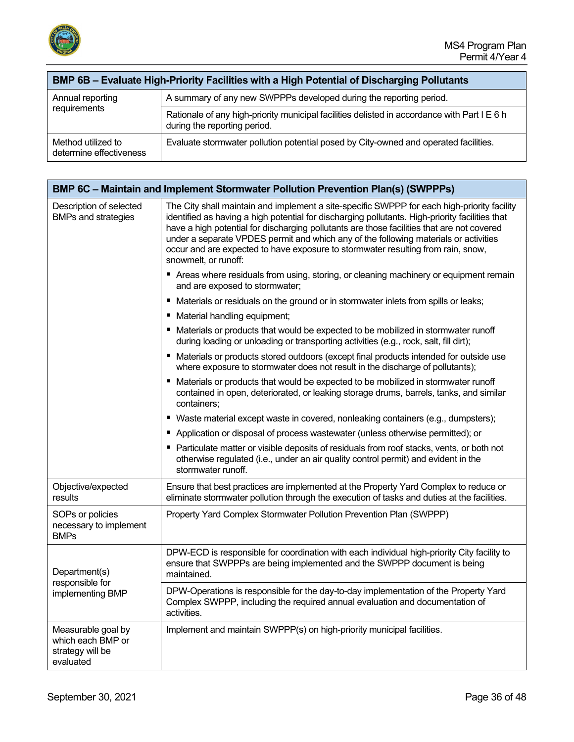

| BMP 6B - Evaluate High-Priority Facilities with a High Potential of Discharging Pollutants |                                                                                                                              |
|--------------------------------------------------------------------------------------------|------------------------------------------------------------------------------------------------------------------------------|
| Annual reporting<br>requirements                                                           | A summary of any new SWPPPs developed during the reporting period.                                                           |
|                                                                                            | Rationale of any high-priority municipal facilities delisted in accordance with Part I E 6 h<br>during the reporting period. |
| Method utilized to<br>determine effectiveness                                              | Evaluate stormwater pollution potential posed by City-owned and operated facilities.                                         |

|                                                                          | BMP 6C - Maintain and Implement Stormwater Pollution Prevention Plan(s) (SWPPPs)                                                                                                                                                                                                                                                                                                                                                                                                                 |
|--------------------------------------------------------------------------|--------------------------------------------------------------------------------------------------------------------------------------------------------------------------------------------------------------------------------------------------------------------------------------------------------------------------------------------------------------------------------------------------------------------------------------------------------------------------------------------------|
| Description of selected<br><b>BMPs and strategies</b>                    | The City shall maintain and implement a site-specific SWPPP for each high-priority facility<br>identified as having a high potential for discharging pollutants. High-priority facilities that<br>have a high potential for discharging pollutants are those facilities that are not covered<br>under a separate VPDES permit and which any of the following materials or activities<br>occur and are expected to have exposure to stormwater resulting from rain, snow,<br>snowmelt, or runoff: |
|                                                                          | ■ Areas where residuals from using, storing, or cleaning machinery or equipment remain<br>and are exposed to stormwater;                                                                                                                                                                                                                                                                                                                                                                         |
|                                                                          | ■ Materials or residuals on the ground or in stormwater inlets from spills or leaks;                                                                                                                                                                                                                                                                                                                                                                                                             |
|                                                                          | ■ Material handling equipment;                                                                                                                                                                                                                                                                                                                                                                                                                                                                   |
|                                                                          | ■ Materials or products that would be expected to be mobilized in stormwater runoff<br>during loading or unloading or transporting activities (e.g., rock, salt, fill dirt);                                                                                                                                                                                                                                                                                                                     |
|                                                                          | ■ Materials or products stored outdoors (except final products intended for outside use<br>where exposure to stormwater does not result in the discharge of pollutants);                                                                                                                                                                                                                                                                                                                         |
|                                                                          | ■ Materials or products that would be expected to be mobilized in stormwater runoff<br>contained in open, deteriorated, or leaking storage drums, barrels, tanks, and similar<br>containers;                                                                                                                                                                                                                                                                                                     |
|                                                                          | ■ Waste material except waste in covered, nonleaking containers (e.g., dumpsters);                                                                                                                                                                                                                                                                                                                                                                                                               |
|                                                                          | Application or disposal of process wastewater (unless otherwise permitted); or                                                                                                                                                                                                                                                                                                                                                                                                                   |
|                                                                          | Particulate matter or visible deposits of residuals from roof stacks, vents, or both not<br>otherwise regulated (i.e., under an air quality control permit) and evident in the<br>stormwater runoff.                                                                                                                                                                                                                                                                                             |
| Objective/expected<br>results                                            | Ensure that best practices are implemented at the Property Yard Complex to reduce or<br>eliminate stormwater pollution through the execution of tasks and duties at the facilities.                                                                                                                                                                                                                                                                                                              |
| SOPs or policies<br>necessary to implement<br><b>BMPs</b>                | Property Yard Complex Stormwater Pollution Prevention Plan (SWPPP)                                                                                                                                                                                                                                                                                                                                                                                                                               |
| Department(s)<br>responsible for<br>implementing BMP                     | DPW-ECD is responsible for coordination with each individual high-priority City facility to<br>ensure that SWPPPs are being implemented and the SWPPP document is being<br>maintained.                                                                                                                                                                                                                                                                                                           |
|                                                                          | DPW-Operations is responsible for the day-to-day implementation of the Property Yard<br>Complex SWPPP, including the required annual evaluation and documentation of<br>activities.                                                                                                                                                                                                                                                                                                              |
| Measurable goal by<br>which each BMP or<br>strategy will be<br>evaluated | Implement and maintain SWPPP(s) on high-priority municipal facilities.                                                                                                                                                                                                                                                                                                                                                                                                                           |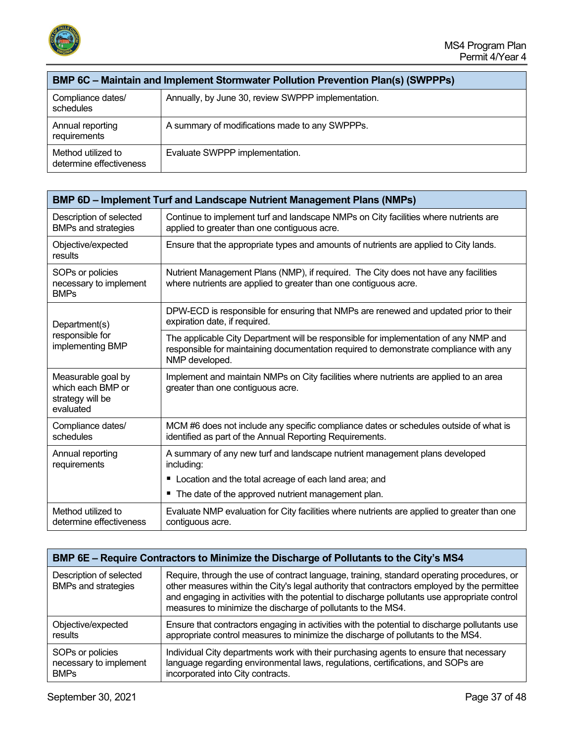

| <b>BMP 6C - Maintain and Implement Stormwater Pollution Prevention Plan(s) (SWPPPs)</b> |                                                    |  |
|-----------------------------------------------------------------------------------------|----------------------------------------------------|--|
| Compliance dates/<br>schedules                                                          | Annually, by June 30, review SWPPP implementation. |  |
| Annual reporting<br>requirements                                                        | A summary of modifications made to any SWPPPs.     |  |
| Method utilized to<br>determine effectiveness                                           | Evaluate SWPPP implementation.                     |  |

| <b>BMP 6D - Implement Turf and Landscape Nutrient Management Plans (NMPs)</b> |                                                                                                                                                                                                 |
|-------------------------------------------------------------------------------|-------------------------------------------------------------------------------------------------------------------------------------------------------------------------------------------------|
| Description of selected<br><b>BMPs and strategies</b>                         | Continue to implement turf and landscape NMPs on City facilities where nutrients are<br>applied to greater than one contiguous acre.                                                            |
| Objective/expected<br>results                                                 | Ensure that the appropriate types and amounts of nutrients are applied to City lands.                                                                                                           |
| SOPs or policies<br>necessary to implement<br><b>BMPs</b>                     | Nutrient Management Plans (NMP), if required. The City does not have any facilities<br>where nutrients are applied to greater than one contiguous acre.                                         |
| Department(s)<br>responsible for<br>implementing BMP                          | DPW-ECD is responsible for ensuring that NMPs are renewed and updated prior to their<br>expiration date, if required.                                                                           |
|                                                                               | The applicable City Department will be responsible for implementation of any NMP and<br>responsible for maintaining documentation required to demonstrate compliance with any<br>NMP developed. |
| Measurable goal by<br>which each BMP or<br>strategy will be<br>evaluated      | Implement and maintain NMPs on City facilities where nutrients are applied to an area<br>greater than one contiguous acre.                                                                      |
| Compliance dates/<br>schedules                                                | MCM #6 does not include any specific compliance dates or schedules outside of what is<br>identified as part of the Annual Reporting Requirements.                                               |
| Annual reporting<br>requirements                                              | A summary of any new turf and landscape nutrient management plans developed<br>including:                                                                                                       |
|                                                                               | Location and the total acreage of each land area; and                                                                                                                                           |
|                                                                               | ■ The date of the approved nutrient management plan.                                                                                                                                            |
| Method utilized to<br>determine effectiveness                                 | Evaluate NMP evaluation for City facilities where nutrients are applied to greater than one<br>contiguous acre.                                                                                 |

| BMP 6E – Require Contractors to Minimize the Discharge of Pollutants to the City's MS4 |                                                                                                                                                                                                                                                                                                                                                            |  |
|----------------------------------------------------------------------------------------|------------------------------------------------------------------------------------------------------------------------------------------------------------------------------------------------------------------------------------------------------------------------------------------------------------------------------------------------------------|--|
| Description of selected<br><b>BMPs and strategies</b>                                  | Require, through the use of contract language, training, standard operating procedures, or<br>other measures within the City's legal authority that contractors employed by the permittee<br>and engaging in activities with the potential to discharge pollutants use appropriate control<br>measures to minimize the discharge of pollutants to the MS4. |  |
| Objective/expected                                                                     | Ensure that contractors engaging in activities with the potential to discharge pollutants use                                                                                                                                                                                                                                                              |  |
| results                                                                                | appropriate control measures to minimize the discharge of pollutants to the MS4.                                                                                                                                                                                                                                                                           |  |
| SOPs or policies                                                                       | Individual City departments work with their purchasing agents to ensure that necessary                                                                                                                                                                                                                                                                     |  |
| necessary to implement                                                                 | language regarding environmental laws, regulations, certifications, and SOPs are                                                                                                                                                                                                                                                                           |  |
| <b>BMPs</b>                                                                            | incorporated into City contracts.                                                                                                                                                                                                                                                                                                                          |  |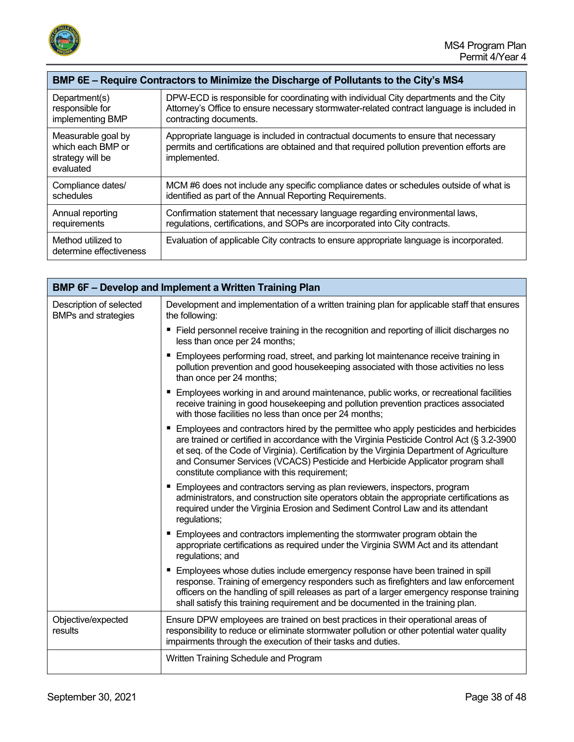

| BMP 6E - Require Contractors to Minimize the Discharge of Pollutants to the City's MS4 |                                                                                                                                                                                                  |
|----------------------------------------------------------------------------------------|--------------------------------------------------------------------------------------------------------------------------------------------------------------------------------------------------|
| Department(s)                                                                          | DPW-ECD is responsible for coordinating with individual City departments and the City                                                                                                            |
| responsible for                                                                        | Attorney's Office to ensure necessary stormwater-related contract language is included in                                                                                                        |
| implementing BMP                                                                       | contracting documents.                                                                                                                                                                           |
| Measurable goal by<br>which each BMP or<br>strategy will be<br>evaluated               | Appropriate language is included in contractual documents to ensure that necessary<br>permits and certifications are obtained and that required pollution prevention efforts are<br>implemented. |
| Compliance dates/                                                                      | MCM #6 does not include any specific compliance dates or schedules outside of what is                                                                                                            |
| schedules                                                                              | identified as part of the Annual Reporting Requirements.                                                                                                                                         |
| Annual reporting                                                                       | Confirmation statement that necessary language regarding environmental laws,                                                                                                                     |
| requirements                                                                           | regulations, certifications, and SOPs are incorporated into City contracts.                                                                                                                      |
| Method utilized to<br>determine effectiveness                                          | Evaluation of applicable City contracts to ensure appropriate language is incorporated.                                                                                                          |

| BMP 6F - Develop and Implement a Written Training Plan |                                                                                                                                                                                                                                                                                                                                                                                                                   |  |
|--------------------------------------------------------|-------------------------------------------------------------------------------------------------------------------------------------------------------------------------------------------------------------------------------------------------------------------------------------------------------------------------------------------------------------------------------------------------------------------|--|
| Description of selected<br><b>BMPs and strategies</b>  | Development and implementation of a written training plan for applicable staff that ensures<br>the following:                                                                                                                                                                                                                                                                                                     |  |
|                                                        | ■ Field personnel receive training in the recognition and reporting of illicit discharges no<br>less than once per 24 months;                                                                                                                                                                                                                                                                                     |  |
|                                                        | Employees performing road, street, and parking lot maintenance receive training in<br>pollution prevention and good housekeeping associated with those activities no less<br>than once per 24 months;                                                                                                                                                                                                             |  |
|                                                        | Employees working in and around maintenance, public works, or recreational facilities<br>receive training in good housekeeping and pollution prevention practices associated<br>with those facilities no less than once per 24 months;                                                                                                                                                                            |  |
|                                                        | Employees and contractors hired by the permittee who apply pesticides and herbicides<br>are trained or certified in accordance with the Virginia Pesticide Control Act (§ 3.2-3900<br>et seq. of the Code of Virginia). Certification by the Virginia Department of Agriculture<br>and Consumer Services (VCACS) Pesticide and Herbicide Applicator program shall<br>constitute compliance with this requirement; |  |
|                                                        | Employees and contractors serving as plan reviewers, inspectors, program<br>administrators, and construction site operators obtain the appropriate certifications as<br>required under the Virginia Erosion and Sediment Control Law and its attendant<br>regulations;                                                                                                                                            |  |
|                                                        | ■ Employees and contractors implementing the stormwater program obtain the<br>appropriate certifications as required under the Virginia SWM Act and its attendant<br>regulations; and                                                                                                                                                                                                                             |  |
|                                                        | Employees whose duties include emergency response have been trained in spill<br>response. Training of emergency responders such as firefighters and law enforcement<br>officers on the handling of spill releases as part of a larger emergency response training<br>shall satisfy this training requirement and be documented in the training plan.                                                              |  |
| Objective/expected<br>results                          | Ensure DPW employees are trained on best practices in their operational areas of<br>responsibility to reduce or eliminate stormwater pollution or other potential water quality<br>impairments through the execution of their tasks and duties.                                                                                                                                                                   |  |
|                                                        | Written Training Schedule and Program                                                                                                                                                                                                                                                                                                                                                                             |  |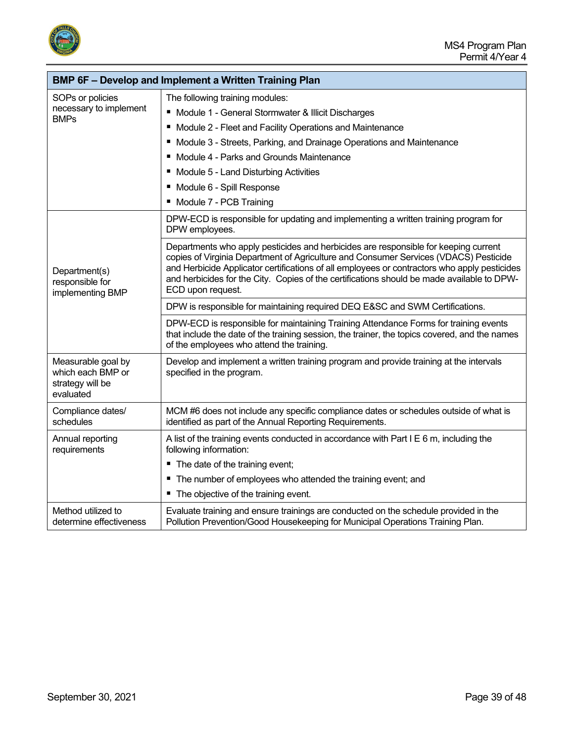



|                                                                          | <b>BMP 6F - Develop and Implement a Written Training Plan</b>                                                                                                                                                                                                                                                                                                                                  |
|--------------------------------------------------------------------------|------------------------------------------------------------------------------------------------------------------------------------------------------------------------------------------------------------------------------------------------------------------------------------------------------------------------------------------------------------------------------------------------|
| SOPs or policies                                                         | The following training modules:                                                                                                                                                                                                                                                                                                                                                                |
| necessary to implement                                                   | ■ Module 1 - General Stormwater & Illicit Discharges                                                                                                                                                                                                                                                                                                                                           |
| <b>BMPs</b>                                                              | Module 2 - Fleet and Facility Operations and Maintenance                                                                                                                                                                                                                                                                                                                                       |
|                                                                          | Module 3 - Streets, Parking, and Drainage Operations and Maintenance                                                                                                                                                                                                                                                                                                                           |
|                                                                          | Module 4 - Parks and Grounds Maintenance<br>п                                                                                                                                                                                                                                                                                                                                                  |
|                                                                          | Module 5 - Land Disturbing Activities                                                                                                                                                                                                                                                                                                                                                          |
|                                                                          | Module 6 - Spill Response                                                                                                                                                                                                                                                                                                                                                                      |
|                                                                          | Module 7 - PCB Training                                                                                                                                                                                                                                                                                                                                                                        |
|                                                                          | DPW-ECD is responsible for updating and implementing a written training program for<br>DPW employees.                                                                                                                                                                                                                                                                                          |
| Department(s)<br>responsible for<br>implementing BMP                     | Departments who apply pesticides and herbicides are responsible for keeping current<br>copies of Virginia Department of Agriculture and Consumer Services (VDACS) Pesticide<br>and Herbicide Applicator certifications of all employees or contractors who apply pesticides<br>and herbicides for the City. Copies of the certifications should be made available to DPW-<br>ECD upon request. |
|                                                                          | DPW is responsible for maintaining required DEQ E&SC and SWM Certifications.                                                                                                                                                                                                                                                                                                                   |
|                                                                          | DPW-ECD is responsible for maintaining Training Attendance Forms for training events<br>that include the date of the training session, the trainer, the topics covered, and the names<br>of the employees who attend the training.                                                                                                                                                             |
| Measurable goal by<br>which each BMP or<br>strategy will be<br>evaluated | Develop and implement a written training program and provide training at the intervals<br>specified in the program.                                                                                                                                                                                                                                                                            |
| Compliance dates/<br>schedules                                           | MCM #6 does not include any specific compliance dates or schedules outside of what is<br>identified as part of the Annual Reporting Requirements.                                                                                                                                                                                                                                              |
| Annual reporting<br>requirements                                         | A list of the training events conducted in accordance with Part I E 6 m, including the<br>following information:                                                                                                                                                                                                                                                                               |
|                                                                          | ■ The date of the training event;                                                                                                                                                                                                                                                                                                                                                              |
|                                                                          | The number of employees who attended the training event; and                                                                                                                                                                                                                                                                                                                                   |
|                                                                          | The objective of the training event.                                                                                                                                                                                                                                                                                                                                                           |
| Method utilized to<br>determine effectiveness                            | Evaluate training and ensure trainings are conducted on the schedule provided in the<br>Pollution Prevention/Good Housekeeping for Municipal Operations Training Plan.                                                                                                                                                                                                                         |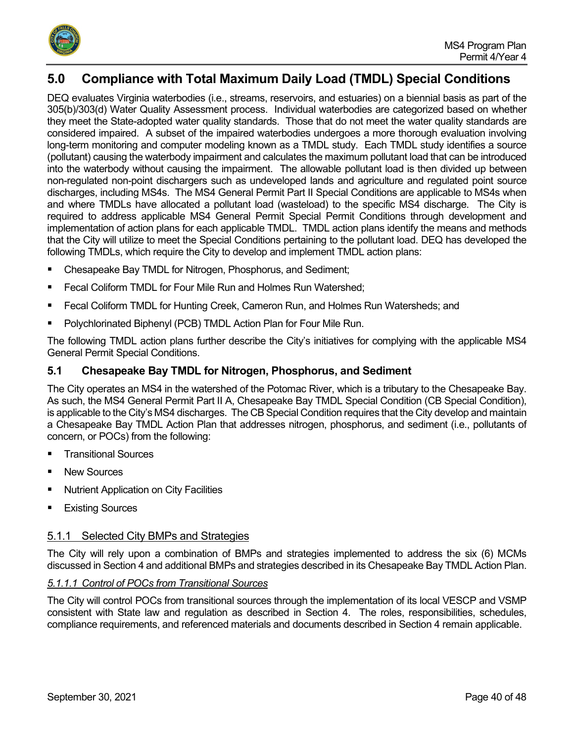

# <span id="page-39-0"></span>**5.0 Compliance with Total Maximum Daily Load (TMDL) Special Conditions**

DEQ evaluates Virginia waterbodies (i.e., streams, reservoirs, and estuaries) on a biennial basis as part of the 305(b)/303(d) Water Quality Assessment process. Individual waterbodies are categorized based on whether they meet the State-adopted water quality standards. Those that do not meet the water quality standards are considered impaired. A subset of the impaired waterbodies undergoes a more thorough evaluation involving long-term monitoring and computer modeling known as a TMDL study. Each TMDL study identifies a source (pollutant) causing the waterbody impairment and calculates the maximum pollutant load that can be introduced into the waterbody without causing the impairment. The allowable pollutant load is then divided up between non-regulated non-point dischargers such as undeveloped lands and agriculture and regulated point source discharges, including MS4s. The MS4 General Permit Part II Special Conditions are applicable to MS4s when and where TMDLs have allocated a pollutant load (wasteload) to the specific MS4 discharge. The City is required to address applicable MS4 General Permit Special Permit Conditions through development and implementation of action plans for each applicable TMDL. TMDL action plans identify the means and methods that the City will utilize to meet the Special Conditions pertaining to the pollutant load. DEQ has developed the following TMDLs, which require the City to develop and implement TMDL action plans:

- Chesapeake Bay TMDL for Nitrogen, Phosphorus, and Sediment;
- Fecal Coliform TMDL for Four Mile Run and Holmes Run Watershed;
- Fecal Coliform TMDL for Hunting Creek, Cameron Run, and Holmes Run Watersheds; and
- Polychlorinated Biphenyl (PCB) TMDL Action Plan for Four Mile Run.

The following TMDL action plans further describe the City's initiatives for complying with the applicable MS4 General Permit Special Conditions.

## <span id="page-39-1"></span>**5.1 Chesapeake Bay TMDL for Nitrogen, Phosphorus, and Sediment**

The City operates an MS4 in the watershed of the Potomac River, which is a tributary to the Chesapeake Bay. As such, the MS4 General Permit Part II A, Chesapeake Bay TMDL Special Condition (CB Special Condition), is applicable to the City's MS4 discharges. The CB Special Condition requires that the City develop and maintain a Chesapeake Bay TMDL Action Plan that addresses nitrogen, phosphorus, and sediment (i.e., pollutants of concern, or POCs) from the following:

- Transitional Sources
- New Sources
- Nutrient Application on City Facilities
- Existing Sources

## <span id="page-39-2"></span>5.1.1 Selected City BMPs and Strategies

The City will rely upon a combination of BMPs and strategies implemented to address the six (6) MCMs discussed in Section 4 and additional BMPs and strategies described in its Chesapeake Bay TMDL Action Plan.

## *5.1.1.1 Control of POCs from Transitional Sources*

The City will control POCs from transitional sources through the implementation of its local VESCP and VSMP consistent with State law and regulation as described in Section 4. The roles, responsibilities, schedules, compliance requirements, and referenced materials and documents described in Section 4 remain applicable.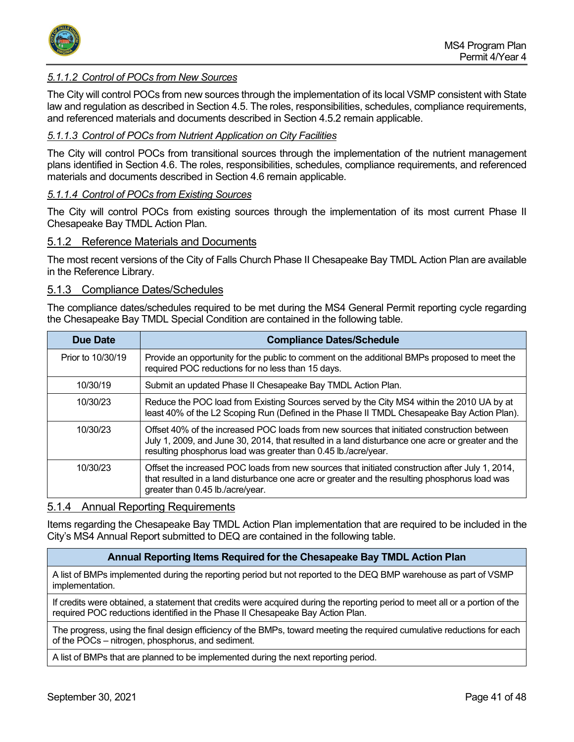

#### *5.1.1.2 Control of POCs from New Sources*

The City will control POCs from new sources through the implementation of its local VSMP consistent with State law and regulation as described in Section 4.5. The roles, responsibilities, schedules, compliance requirements, and referenced materials and documents described in Section 4.5.2 remain applicable.

#### *5.1.1.3 Control of POCs from Nutrient Application on City Facilities*

The City will control POCs from transitional sources through the implementation of the nutrient management plans identified in Section 4.6. The roles, responsibilities, schedules, compliance requirements, and referenced materials and documents described in Section 4.6 remain applicable.

#### *5.1.1.4 Control of POCs from Existing Sources*

The City will control POCs from existing sources through the implementation of its most current Phase II Chesapeake Bay TMDL Action Plan.

#### <span id="page-40-0"></span>5.1.2 Reference Materials and Documents

The most recent versions of the City of Falls Church Phase II Chesapeake Bay TMDL Action Plan are available in the Reference Library.

#### <span id="page-40-1"></span>5.1.3 Compliance Dates/Schedules

The compliance dates/schedules required to be met during the MS4 General Permit reporting cycle regarding the Chesapeake Bay TMDL Special Condition are contained in the following table.

| <b>Due Date</b>   | <b>Compliance Dates/Schedule</b>                                                                                                                                                                                                                                 |
|-------------------|------------------------------------------------------------------------------------------------------------------------------------------------------------------------------------------------------------------------------------------------------------------|
| Prior to 10/30/19 | Provide an opportunity for the public to comment on the additional BMPs proposed to meet the<br>required POC reductions for no less than 15 days.                                                                                                                |
| 10/30/19          | Submit an updated Phase II Chesapeake Bay TMDL Action Plan.                                                                                                                                                                                                      |
| 10/30/23          | Reduce the POC load from Existing Sources served by the City MS4 within the 2010 UA by at<br>least 40% of the L2 Scoping Run (Defined in the Phase II TMDL Chesapeake Bay Action Plan).                                                                          |
| 10/30/23          | Offset 40% of the increased POC loads from new sources that initiated construction between<br>July 1, 2009, and June 30, 2014, that resulted in a land disturbance one acre or greater and the<br>resulting phosphorus load was greater than 0.45 lb./acre/year. |
| 10/30/23          | Offset the increased POC loads from new sources that initiated construction after July 1, 2014,<br>that resulted in a land disturbance one acre or greater and the resulting phosphorus load was<br>greater than 0.45 lb./acre/year.                             |

#### <span id="page-40-2"></span>5.1.4 Annual Reporting Requirements

Items regarding the Chesapeake Bay TMDL Action Plan implementation that are required to be included in the City's MS4 Annual Report submitted to DEQ are contained in the following table.

#### **Annual Reporting Items Required for the Chesapeake Bay TMDL Action Plan**

A list of BMPs implemented during the reporting period but not reported to the DEQ BMP warehouse as part of VSMP implementation.

If credits were obtained, a statement that credits were acquired during the reporting period to meet all or a portion of the required POC reductions identified in the Phase II Chesapeake Bay Action Plan.

The progress, using the final design efficiency of the BMPs, toward meeting the required cumulative reductions for each of the POCs – nitrogen, phosphorus, and sediment.

A list of BMPs that are planned to be implemented during the next reporting period.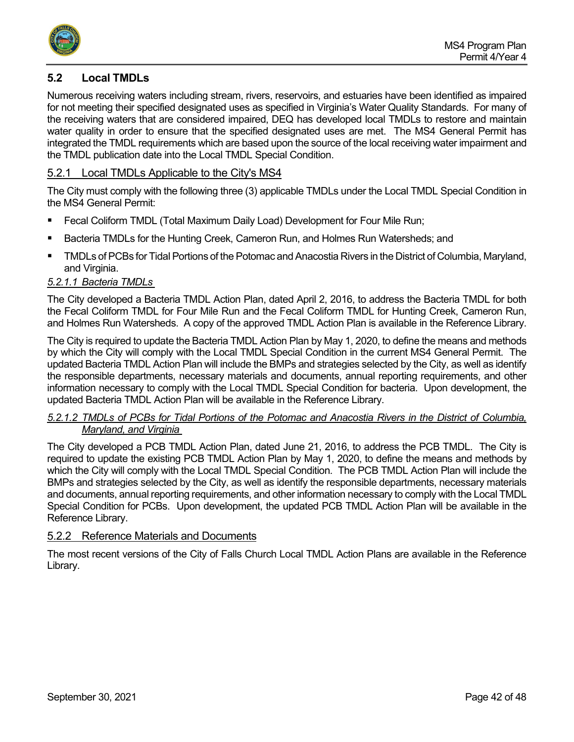

## <span id="page-41-0"></span>**5.2 Local TMDLs**

Numerous receiving waters including stream, rivers, reservoirs, and estuaries have been identified as impaired for not meeting their specified designated uses as specified in Virginia's Water Quality Standards. For many of the receiving waters that are considered impaired, DEQ has developed local TMDLs to restore and maintain water quality in order to ensure that the specified designated uses are met. The MS4 General Permit has integrated the TMDL requirements which are based upon the source of the local receiving water impairment and the TMDL publication date into the Local TMDL Special Condition.

## <span id="page-41-1"></span>5.2.1 Local TMDLs Applicable to the City's MS4

The City must comply with the following three (3) applicable TMDLs under the Local TMDL Special Condition in the MS4 General Permit:

- Fecal Coliform TMDL (Total Maximum Daily Load) Development for Four Mile Run;
- Bacteria TMDLs for the Hunting Creek, Cameron Run, and Holmes Run Watersheds; and
- TMDLs of PCBs for Tidal Portions of the Potomac and Anacostia Rivers in the District of Columbia, Maryland, and Virginia.

## *5.2.1.1 Bacteria TMDLs*

The City developed a Bacteria TMDL Action Plan, dated April 2, 2016, to address the Bacteria TMDL for both the Fecal Coliform TMDL for Four Mile Run and the Fecal Coliform TMDL for Hunting Creek, Cameron Run, and Holmes Run Watersheds. A copy of the approved TMDL Action Plan is available in the Reference Library.

The City is required to update the Bacteria TMDL Action Plan by May 1, 2020, to define the means and methods by which the City will comply with the Local TMDL Special Condition in the current MS4 General Permit. The updated Bacteria TMDL Action Plan will include the BMPs and strategies selected by the City, as well as identify the responsible departments, necessary materials and documents, annual reporting requirements, and other information necessary to comply with the Local TMDL Special Condition for bacteria. Upon development, the updated Bacteria TMDL Action Plan will be available in the Reference Library.

#### *5.2.1.2 TMDLs of PCBs for Tidal Portions of the Potomac and Anacostia Rivers in the District of Columbia, Maryland, and Virginia*

The City developed a PCB TMDL Action Plan, dated June 21, 2016, to address the PCB TMDL. The City is required to update the existing PCB TMDL Action Plan by May 1, 2020, to define the means and methods by which the City will comply with the Local TMDL Special Condition. The PCB TMDL Action Plan will include the BMPs and strategies selected by the City, as well as identify the responsible departments, necessary materials and documents, annual reporting requirements, and other information necessary to comply with the Local TMDL Special Condition for PCBs. Upon development, the updated PCB TMDL Action Plan will be available in the Reference Library.

## <span id="page-41-2"></span>5.2.2 Reference Materials and Documents

The most recent versions of the City of Falls Church Local TMDL Action Plans are available in the Reference Library.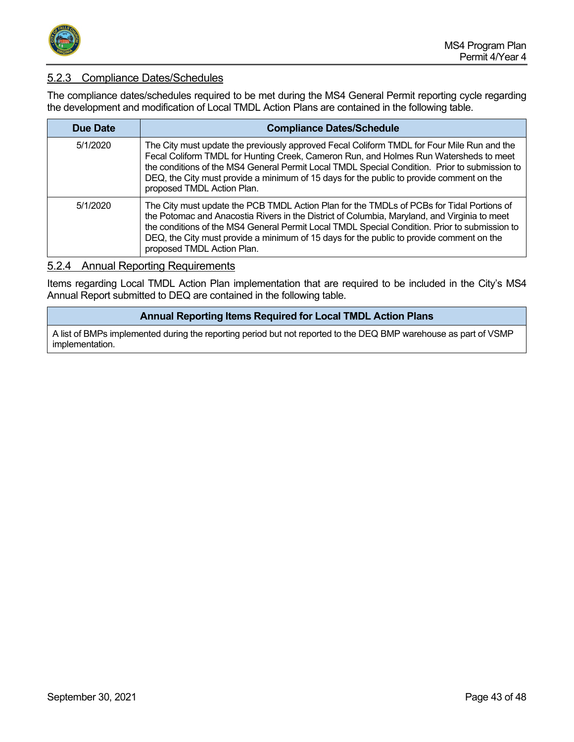

## <span id="page-42-0"></span>5.2.3 Compliance Dates/Schedules

The compliance dates/schedules required to be met during the MS4 General Permit reporting cycle regarding the development and modification of Local TMDL Action Plans are contained in the following table.

| Due Date | <b>Compliance Dates/Schedule</b>                                                                                                                                                                                                                                                                                                                                                                                     |
|----------|----------------------------------------------------------------------------------------------------------------------------------------------------------------------------------------------------------------------------------------------------------------------------------------------------------------------------------------------------------------------------------------------------------------------|
| 5/1/2020 | The City must update the previously approved Fecal Coliform TMDL for Four Mile Run and the<br>Fecal Coliform TMDL for Hunting Creek, Cameron Run, and Holmes Run Watersheds to meet<br>the conditions of the MS4 General Permit Local TMDL Special Condition. Prior to submission to<br>DEQ, the City must provide a minimum of 15 days for the public to provide comment on the<br>proposed TMDL Action Plan.       |
| 5/1/2020 | The City must update the PCB TMDL Action Plan for the TMDLs of PCBs for Tidal Portions of<br>the Potomac and Anacostia Rivers in the District of Columbia, Maryland, and Virginia to meet<br>the conditions of the MS4 General Permit Local TMDL Special Condition. Prior to submission to<br>DEQ, the City must provide a minimum of 15 days for the public to provide comment on the<br>proposed TMDL Action Plan. |

## <span id="page-42-1"></span>5.2.4 Annual Reporting Requirements

Items regarding Local TMDL Action Plan implementation that are required to be included in the City's MS4 Annual Report submitted to DEQ are contained in the following table.

#### **Annual Reporting Items Required for Local TMDL Action Plans**

A list of BMPs implemented during the reporting period but not reported to the DEQ BMP warehouse as part of VSMP implementation.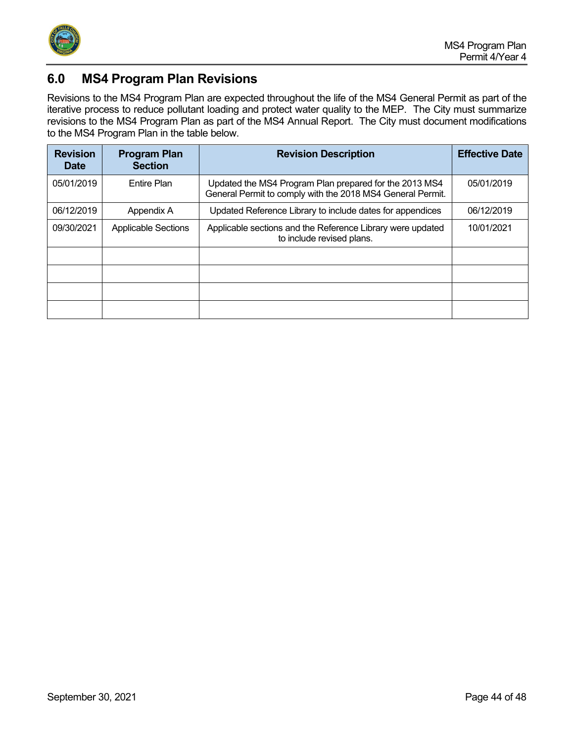

# <span id="page-43-0"></span>**6.0 MS4 Program Plan Revisions**

Revisions to the MS4 Program Plan are expected throughout the life of the MS4 General Permit as part of the iterative process to reduce pollutant loading and protect water quality to the MEP. The City must summarize revisions to the MS4 Program Plan as part of the MS4 Annual Report. The City must document modifications to the MS4 Program Plan in the table below.

| <b>Revision</b><br><b>Date</b> | <b>Program Plan</b><br><b>Section</b> | <b>Revision Description</b>                                                                                          | <b>Effective Date</b> |
|--------------------------------|---------------------------------------|----------------------------------------------------------------------------------------------------------------------|-----------------------|
| 05/01/2019                     | <b>Entire Plan</b>                    | Updated the MS4 Program Plan prepared for the 2013 MS4<br>General Permit to comply with the 2018 MS4 General Permit. | 05/01/2019            |
| 06/12/2019                     | Appendix A                            | Updated Reference Library to include dates for appendices                                                            | 06/12/2019            |
| 09/30/2021                     | <b>Applicable Sections</b>            | Applicable sections and the Reference Library were updated<br>to include revised plans.                              | 10/01/2021            |
|                                |                                       |                                                                                                                      |                       |
|                                |                                       |                                                                                                                      |                       |
|                                |                                       |                                                                                                                      |                       |
|                                |                                       |                                                                                                                      |                       |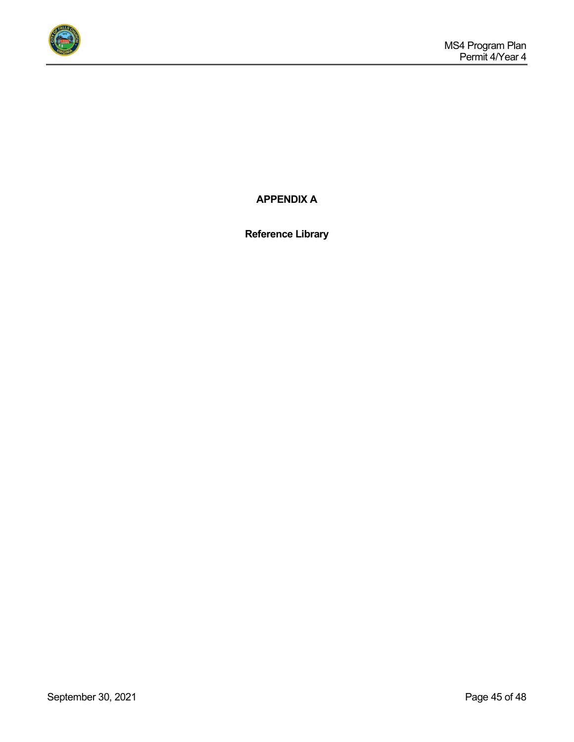

**APPENDIX A**

**Reference Library**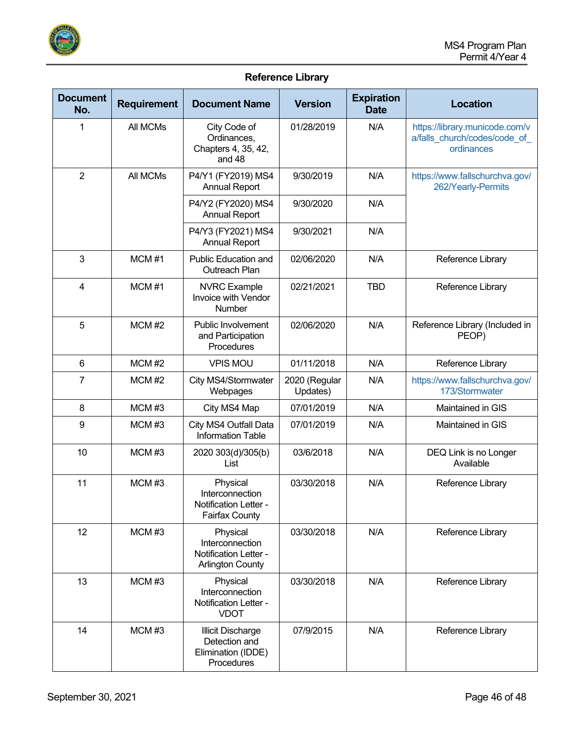

## **Reference Library**

| <b>Document</b><br>No. | <b>Requirement</b> | <b>Document Name</b>                                                            | <b>Version</b>            | <b>Expiration</b><br><b>Date</b> | <b>Location</b>                                                              |
|------------------------|--------------------|---------------------------------------------------------------------------------|---------------------------|----------------------------------|------------------------------------------------------------------------------|
| 1                      | All MCMs           | City Code of<br>Ordinances,<br>Chapters 4, 35, 42,<br>and 48                    | 01/28/2019                | N/A                              | https://library.municode.com/v<br>a/falls_church/codes/code_of<br>ordinances |
| $\overline{2}$         | All MCMs           | P4/Y1 (FY2019) MS4<br><b>Annual Report</b>                                      | 9/30/2019                 | N/A                              | https://www.fallschurchva.gov/<br>262/Yearly-Permits                         |
|                        |                    | P4/Y2 (FY2020) MS4<br><b>Annual Report</b>                                      | 9/30/2020                 | N/A                              |                                                                              |
|                        |                    | P4/Y3 (FY2021) MS4<br><b>Annual Report</b>                                      | 9/30/2021                 | N/A                              |                                                                              |
| 3                      | MCM#1              | <b>Public Education and</b><br>Outreach Plan                                    | 02/06/2020                | N/A                              | Reference Library                                                            |
| $\overline{4}$         | MCM#1              | <b>NVRC</b> Example<br>Invoice with Vendor<br>Number                            | 02/21/2021                | <b>TBD</b>                       | Reference Library                                                            |
| 5                      | $MCM$ #2           | <b>Public Involvement</b><br>and Participation<br>Procedures                    | 02/06/2020                | N/A                              | Reference Library (Included in<br>PEOP)                                      |
| 6                      | $MCM$ #2           | <b>VPIS MOU</b>                                                                 | 01/11/2018                | N/A                              | Reference Library                                                            |
| 7                      | $MCM$ #2           | City MS4/Stormwater<br>Webpages                                                 | 2020 (Regular<br>Updates) | N/A                              | https://www.fallschurchva.gov/<br>173/Stormwater                             |
| 8                      | MCM#3              | City MS4 Map                                                                    | 07/01/2019                | N/A                              | Maintained in GIS                                                            |
| 9                      | MCM#3              | City MS4 Outfall Data<br><b>Information Table</b>                               | 07/01/2019                | N/A                              | Maintained in GIS                                                            |
| 10                     | MCM#3              | 2020 303(d)/305(b)<br>List                                                      | 03/6/2018                 | N/A                              | DEQ Link is no Longer<br>Available                                           |
| 11                     | MCM#3              | Physical<br>Interconnection<br>Notification Letter -<br><b>Fairfax County</b>   | 03/30/2018                | N/A                              | Reference Library                                                            |
| 12                     | MCMH3              | Physical<br>Interconnection<br>Notification Letter -<br><b>Arlington County</b> | 03/30/2018                | N/A                              | Reference Library                                                            |
| 13                     | MCMH3              | Physical<br>Interconnection<br>Notification Letter -<br><b>VDOT</b>             | 03/30/2018                | N/A                              | Reference Library                                                            |
| 14                     | MCM#3              | Illicit Discharge<br>Detection and<br>Elimination (IDDE)<br>Procedures          | 07/9/2015                 | N/A                              | Reference Library                                                            |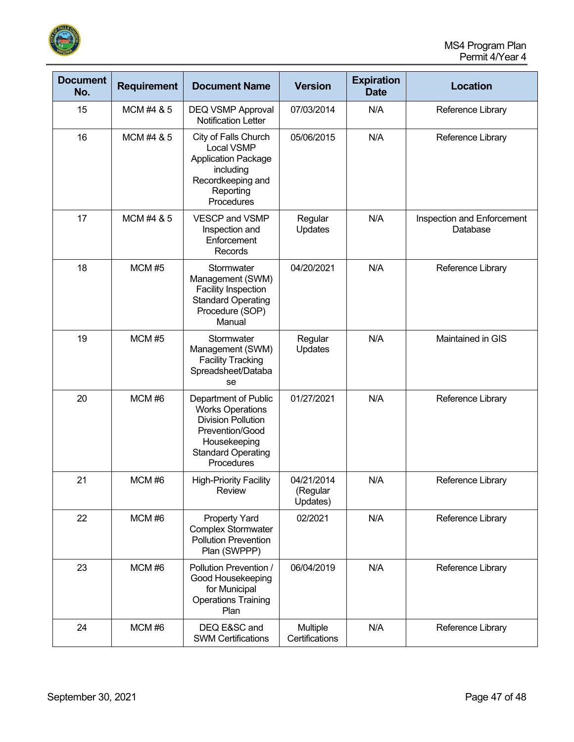

| <b>Document</b><br>No. | <b>Requirement</b> | <b>Document Name</b>                                                                                                                                       | <b>Version</b>                     | <b>Expiration</b><br><b>Date</b> | <b>Location</b>                        |
|------------------------|--------------------|------------------------------------------------------------------------------------------------------------------------------------------------------------|------------------------------------|----------------------------------|----------------------------------------|
| 15                     | MCM #4 & 5         | DEQ VSMP Approval<br><b>Notification Letter</b>                                                                                                            | 07/03/2014                         | N/A                              | Reference Library                      |
| 16                     | MCM #4 & 5         | City of Falls Church<br>Local VSMP<br><b>Application Package</b><br>including<br>Recordkeeping and<br>Reporting<br>Procedures                              | 05/06/2015                         | N/A                              | Reference Library                      |
| 17                     | MCM #4 & 5         | <b>VESCP and VSMP</b><br>Inspection and<br>Enforcement<br>Records                                                                                          | Regular<br>Updates                 | N/A                              | Inspection and Enforcement<br>Database |
| 18                     | <b>MCM #5</b>      | Stormwater<br>Management (SWM)<br><b>Facility Inspection</b><br><b>Standard Operating</b><br>Procedure (SOP)<br>Manual                                     | 04/20/2021                         | N/A                              | Reference Library                      |
| 19                     | <b>MCM #5</b>      | Stormwater<br>Management (SWM)<br><b>Facility Tracking</b><br>Spreadsheet/Databa<br>se                                                                     | Regular<br>Updates                 | N/A                              | Maintained in GIS                      |
| 20                     | MCM#6              | Department of Public<br><b>Works Operations</b><br><b>Division Pollution</b><br>Prevention/Good<br>Housekeeping<br><b>Standard Operating</b><br>Procedures | 01/27/2021                         | N/A                              | Reference Library                      |
| 21                     | MCM#6              | <b>High-Priority Facility</b><br>Review                                                                                                                    | 04/21/2014<br>(Regular<br>Updates) | N/A                              | Reference Library                      |
| 22                     | MCM#6              | <b>Property Yard</b><br><b>Complex Stormwater</b><br><b>Pollution Prevention</b><br>Plan (SWPPP)                                                           | 02/2021                            | N/A                              | Reference Library                      |
| 23                     | MCM#6              | Pollution Prevention /<br>Good Housekeeping<br>for Municipal<br><b>Operations Training</b><br>Plan                                                         | 06/04/2019                         | N/A                              | Reference Library                      |
| 24                     | MCM#6              | DEQ E&SC and<br><b>SWM Certifications</b>                                                                                                                  | Multiple<br>Certifications         | N/A                              | Reference Library                      |